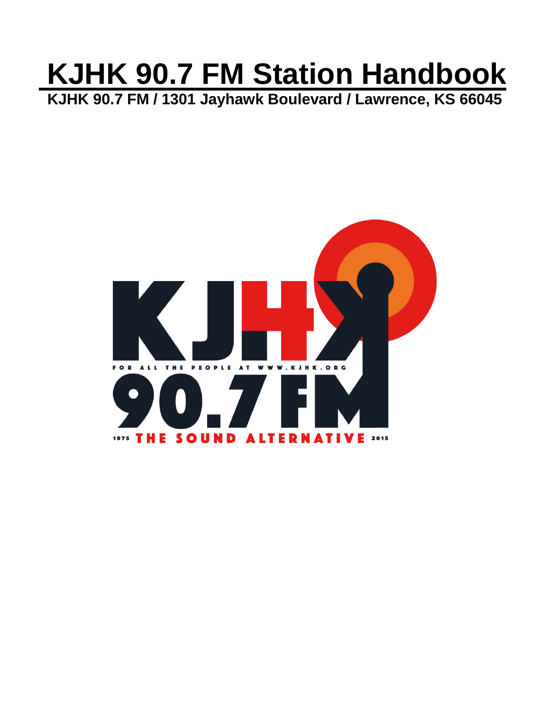# **KJHK 90.7 FM Station Handbook**

**KJHK 90.7 FM / 1301 Jayhawk Boulevard / Lawrence, KS 66045**

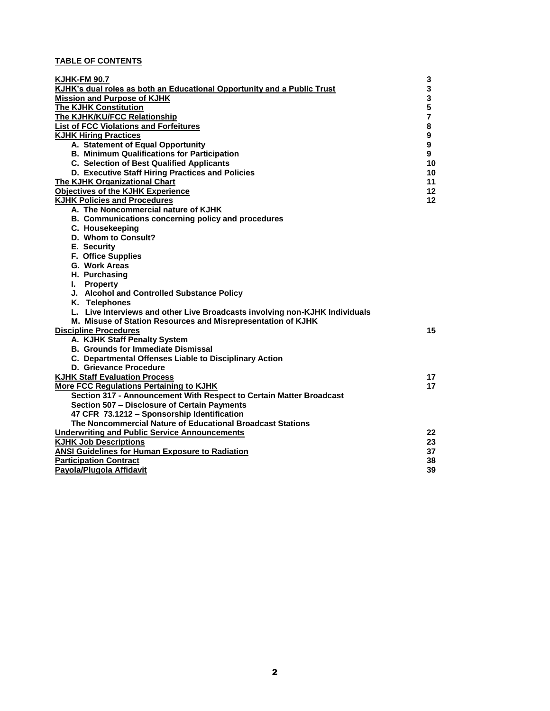### **TABLE OF CONTENTS**

| <b>KJHK-FM 90.7</b>                                                         | 3                       |  |  |  |
|-----------------------------------------------------------------------------|-------------------------|--|--|--|
| KJHK's dual roles as both an Educational Opportunity and a Public Trust     |                         |  |  |  |
| <b>Mission and Purpose of KJHK</b>                                          | $\mathbf{3}$<br>3       |  |  |  |
| <b>The KJHK Constitution</b>                                                | 5                       |  |  |  |
| The KJHK/KU/FCC Relationship                                                | $\overline{\mathbf{7}}$ |  |  |  |
| <b>List of FCC Violations and Forfeitures</b>                               | 8                       |  |  |  |
| <b>KJHK Hiring Practices</b>                                                | $\boldsymbol{9}$        |  |  |  |
| A. Statement of Equal Opportunity                                           | $\boldsymbol{9}$        |  |  |  |
| <b>B. Minimum Qualifications for Participation</b>                          |                         |  |  |  |
| C. Selection of Best Qualified Applicants                                   |                         |  |  |  |
| D. Executive Staff Hiring Practices and Policies                            | 10<br>10                |  |  |  |
| The KJHK Organizational Chart                                               | 11                      |  |  |  |
| <b>Objectives of the KJHK Experience</b>                                    | 12                      |  |  |  |
| <b>KJHK Policies and Procedures</b>                                         | 12                      |  |  |  |
| A. The Noncommercial nature of KJHK                                         |                         |  |  |  |
| B. Communications concerning policy and procedures                          |                         |  |  |  |
| C. Housekeeping                                                             |                         |  |  |  |
| D. Whom to Consult?                                                         |                         |  |  |  |
|                                                                             |                         |  |  |  |
| E. Security                                                                 |                         |  |  |  |
| F. Office Supplies                                                          |                         |  |  |  |
| G. Work Areas                                                               |                         |  |  |  |
| H. Purchasing                                                               |                         |  |  |  |
| <b>Property</b><br>L.                                                       |                         |  |  |  |
| J. Alcohol and Controlled Substance Policy                                  |                         |  |  |  |
| K. Telephones                                                               |                         |  |  |  |
| L. Live Interviews and other Live Broadcasts involving non-KJHK Individuals |                         |  |  |  |
| M. Misuse of Station Resources and Misrepresentation of KJHK                |                         |  |  |  |
| <b>Discipline Procedures</b>                                                | 15                      |  |  |  |
| A. KJHK Staff Penalty System                                                |                         |  |  |  |
| <b>B. Grounds for Immediate Dismissal</b>                                   |                         |  |  |  |
| C. Departmental Offenses Liable to Disciplinary Action                      |                         |  |  |  |
| D. Grievance Procedure                                                      |                         |  |  |  |
| <b>KJHK Staff Evaluation Process</b>                                        | 17                      |  |  |  |
| <b>More FCC Regulations Pertaining to KJHK</b>                              | 17                      |  |  |  |
| Section 317 - Announcement With Respect to Certain Matter Broadcast         |                         |  |  |  |
| Section 507 - Disclosure of Certain Payments                                |                         |  |  |  |
| 47 CFR 73.1212 - Sponsorship Identification                                 |                         |  |  |  |
| The Noncommercial Nature of Educational Broadcast Stations                  |                         |  |  |  |
| <b>Underwriting and Public Service Announcements</b>                        | 22                      |  |  |  |
| <b>KJHK Job Descriptions</b>                                                | 23                      |  |  |  |
| <b>ANSI Guidelines for Human Exposure to Radiation</b>                      |                         |  |  |  |
| <b>Participation Contract</b>                                               |                         |  |  |  |
| Payola/Plugola Affidavit                                                    | 39                      |  |  |  |
|                                                                             |                         |  |  |  |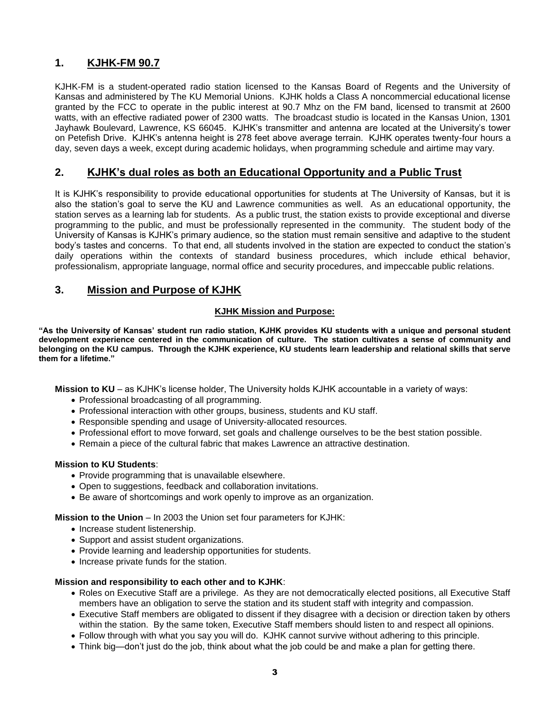### **1. KJHK-FM 90.7**

KJHK-FM is a student-operated radio station licensed to the Kansas Board of Regents and the University of Kansas and administered by The KU Memorial Unions. KJHK holds a Class A noncommercial educational license granted by the FCC to operate in the public interest at 90.7 Mhz on the FM band, licensed to transmit at 2600 watts, with an effective radiated power of 2300 watts. The broadcast studio is located in the Kansas Union, 1301 Jayhawk Boulevard, Lawrence, KS 66045. KJHK's transmitter and antenna are located at the University's tower on Petefish Drive. KJHK's antenna height is 278 feet above average terrain. KJHK operates twenty-four hours a day, seven days a week, except during academic holidays, when programming schedule and airtime may vary.

### **2. KJHK's dual roles as both an Educational Opportunity and a Public Trust**

It is KJHK's responsibility to provide educational opportunities for students at The University of Kansas, but it is also the station's goal to serve the KU and Lawrence communities as well. As an educational opportunity, the station serves as a learning lab for students. As a public trust, the station exists to provide exceptional and diverse programming to the public, and must be professionally represented in the community. The student body of the University of Kansas is KJHK's primary audience, so the station must remain sensitive and adaptive to the student body's tastes and concerns. To that end, all students involved in the station are expected to conduct the station's daily operations within the contexts of standard business procedures, which include ethical behavior, professionalism, appropriate language, normal office and security procedures, and impeccable public relations.

### **3. Mission and Purpose of KJHK**

### **KJHK Mission and Purpose:**

**"As the University of Kansas' student run radio station, KJHK provides KU students with a unique and personal student development experience centered in the communication of culture. The station cultivates a sense of community and belonging on the KU campus. Through the KJHK experience, KU students learn leadership and relational skills that serve them for a lifetime."**

**Mission to KU** – as KJHK's license holder, The University holds KJHK accountable in a variety of ways:

- Professional broadcasting of all programming.
- Professional interaction with other groups, business, students and KU staff.
- Responsible spending and usage of University-allocated resources.
- Professional effort to move forward, set goals and challenge ourselves to be the best station possible.
- Remain a piece of the cultural fabric that makes Lawrence an attractive destination.

### **Mission to KU Students**:

- Provide programming that is unavailable elsewhere.
- Open to suggestions, feedback and collaboration invitations.
- Be aware of shortcomings and work openly to improve as an organization.

**Mission to the Union** – In 2003 the Union set four parameters for KJHK:

- Increase student listenership.
- Support and assist student organizations.
- Provide learning and leadership opportunities for students.
- Increase private funds for the station.

### **Mission and responsibility to each other and to KJHK**:

- Roles on Executive Staff are a privilege. As they are not democratically elected positions, all Executive Staff members have an obligation to serve the station and its student staff with integrity and compassion.
- Executive Staff members are obligated to dissent if they disagree with a decision or direction taken by others within the station. By the same token, Executive Staff members should listen to and respect all opinions.
- Follow through with what you say you will do. KJHK cannot survive without adhering to this principle.
- Think big—don't just do the job, think about what the job could be and make a plan for getting there.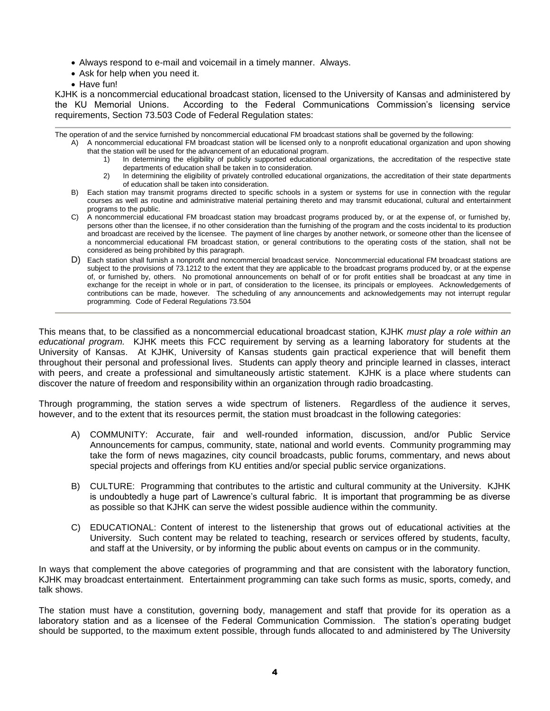- Always respond to e-mail and voicemail in a timely manner. Always.
- Ask for help when you need it.
- Have fun!

KJHK is a noncommercial educational broadcast station, licensed to the University of Kansas and administered by the KU Memorial Unions. According to the Federal Communications Commission's licensing service requirements, Section 73.503 Code of Federal Regulation states:

The operation of and the service furnished by noncommercial educational FM broadcast stations shall be governed by the following:

- A) A noncommercial educational FM broadcast station will be licensed only to a nonprofit educational organization and upon showing that the station will be used for the advancement of an educational program.
	- 1) In determining the eligibility of publicly supported educational organizations, the accreditation of the respective state departments of education shall be taken in to consideration.
	- 2) In determining the eligibility of privately controlled educational organizations, the accreditation of their state departments of education shall be taken into consideration.
- B) Each station may transmit programs directed to specific schools in a system or systems for use in connection with the regular courses as well as routine and administrative material pertaining thereto and may transmit educational, cultural and entertainment programs to the public.
- C) A noncommercial educational FM broadcast station may broadcast programs produced by, or at the expense of, or furnished by, persons other than the licensee, if no other consideration than the furnishing of the program and the costs incidental to its production and broadcast are received by the licensee. The payment of line charges by another network, or someone other than the licensee of a noncommercial educational FM broadcast station, or general contributions to the operating costs of the station, shall not be considered as being prohibited by this paragraph.
- D) Each station shall furnish a nonprofit and noncommercial broadcast service. Noncommercial educational FM broadcast stations are subject to the provisions of 73.1212 to the extent that they are applicable to the broadcast programs produced by, or at the expense of, or furnished by, others. No promotional announcements on behalf of or for profit entities shall be broadcast at any time in exchange for the receipt in whole or in part, of consideration to the licensee, its principals or employees. Acknowledgements of contributions can be made, however. The scheduling of any announcements and acknowledgements may not interrupt regular programming. Code of Federal Regulations 73.504

This means that, to be classified as a noncommercial educational broadcast station, KJHK *must play a role within an educational program.* KJHK meets this FCC requirement by serving as a learning laboratory for students at the University of Kansas. At KJHK, University of Kansas students gain practical experience that will benefit them throughout their personal and professional lives. Students can apply theory and principle learned in classes, interact with peers, and create a professional and simultaneously artistic statement. KJHK is a place where students can discover the nature of freedom and responsibility within an organization through radio broadcasting.

Through programming, the station serves a wide spectrum of listeners. Regardless of the audience it serves, however, and to the extent that its resources permit, the station must broadcast in the following categories:

- A) COMMUNITY: Accurate, fair and well-rounded information, discussion, and/or Public Service Announcements for campus, community, state, national and world events. Community programming may take the form of news magazines, city council broadcasts, public forums, commentary, and news about special projects and offerings from KU entities and/or special public service organizations.
- B) CULTURE: Programming that contributes to the artistic and cultural community at the University. KJHK is undoubtedly a huge part of Lawrence's cultural fabric. It is important that programming be as diverse as possible so that KJHK can serve the widest possible audience within the community.
- C) EDUCATIONAL: Content of interest to the listenership that grows out of educational activities at the University. Such content may be related to teaching, research or services offered by students, faculty, and staff at the University, or by informing the public about events on campus or in the community.

In ways that complement the above categories of programming and that are consistent with the laboratory function, KJHK may broadcast entertainment. Entertainment programming can take such forms as music, sports, comedy, and talk shows.

The station must have a constitution, governing body, management and staff that provide for its operation as a laboratory station and as a licensee of the Federal Communication Commission. The station's operating budget should be supported, to the maximum extent possible, through funds allocated to and administered by The University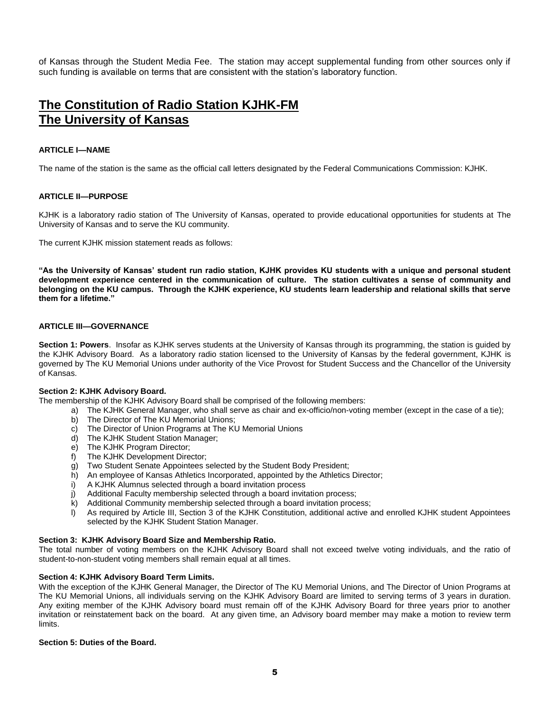of Kansas through the Student Media Fee. The station may accept supplemental funding from other sources only if such funding is available on terms that are consistent with the station's laboratory function.

### **The Constitution of Radio Station KJHK-FM The University of Kansas**

#### **ARTICLE I—NAME**

The name of the station is the same as the official call letters designated by the Federal Communications Commission: KJHK.

#### **ARTICLE II—PURPOSE**

KJHK is a laboratory radio station of The University of Kansas, operated to provide educational opportunities for students at The University of Kansas and to serve the KU community.

The current KJHK mission statement reads as follows:

**"As the University of Kansas' student run radio station, KJHK provides KU students with a unique and personal student development experience centered in the communication of culture. The station cultivates a sense of community and belonging on the KU campus. Through the KJHK experience, KU students learn leadership and relational skills that serve them for a lifetime."**

### **ARTICLE III—GOVERNANCE**

**Section 1: Powers**. Insofar as KJHK serves students at the University of Kansas through its programming, the station is guided by the KJHK Advisory Board. As a laboratory radio station licensed to the University of Kansas by the federal government, KJHK is governed by The KU Memorial Unions under authority of the Vice Provost for Student Success and the Chancellor of the University of Kansas.

#### **Section 2: KJHK Advisory Board.**

The membership of the KJHK Advisory Board shall be comprised of the following members:

- a) The KJHK General Manager, who shall serve as chair and ex-officio/non-voting member (except in the case of a tie);
	- b) The Director of The KU Memorial Unions;
	- c) The Director of Union Programs at The KU Memorial Unions
	- d) The KJHK Student Station Manager;
	- e) The KJHK Program Director;
	- f) The KJHK Development Director;
	- g) Two Student Senate Appointees selected by the Student Body President;
	- h) An employee of Kansas Athletics Incorporated, appointed by the Athletics Director;<br>i) A KJHK Alumnus selected through a board invitation process
	- A KJHK Alumnus selected through a board invitation process
	- j) Additional Faculty membership selected through a board invitation process;
	- k) Additional Community membership selected through a board invitation process;
	- l) As required by Article III, Section 3 of the KJHK Constitution, additional active and enrolled KJHK student Appointees selected by the KJHK Student Station Manager.

#### **Section 3: KJHK Advisory Board Size and Membership Ratio.**

The total number of voting members on the KJHK Advisory Board shall not exceed twelve voting individuals, and the ratio of student-to-non-student voting members shall remain equal at all times.

#### **Section 4: KJHK Advisory Board Term Limits.**

With the exception of the KJHK General Manager, the Director of The KU Memorial Unions, and The Director of Union Programs at The KU Memorial Unions, all individuals serving on the KJHK Advisory Board are limited to serving terms of 3 years in duration. Any exiting member of the KJHK Advisory board must remain off of the KJHK Advisory Board for three years prior to another invitation or reinstatement back on the board. At any given time, an Advisory board member may make a motion to review term limits.

#### **Section 5: Duties of the Board.**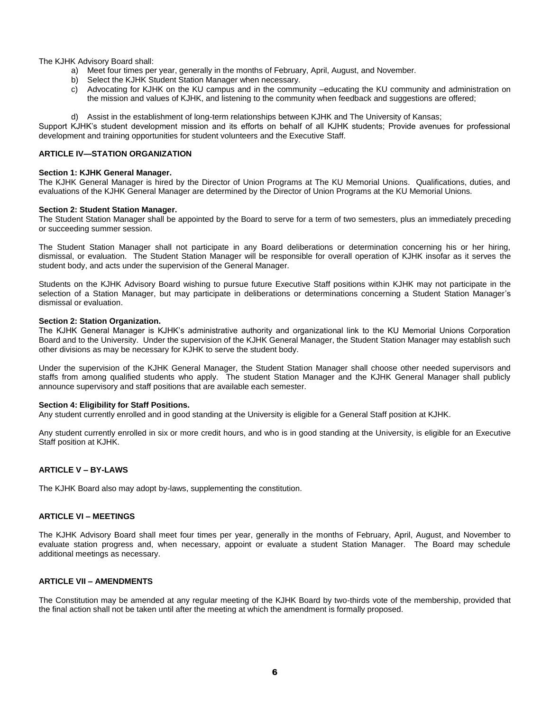The KJHK Advisory Board shall:

- a) Meet four times per year, generally in the months of February, April, August, and November.
- b) Select the KJHK Student Station Manager when necessary.
- c) Advocating for KJHK on the KU campus and in the community –educating the KU community and administration on the mission and values of KJHK, and listening to the community when feedback and suggestions are offered;
- d) Assist in the establishment of long-term relationships between KJHK and The University of Kansas;

Support KJHK's student development mission and its efforts on behalf of all KJHK students; Provide avenues for professional development and training opportunities for student volunteers and the Executive Staff.

#### **ARTICLE IV—STATION ORGANIZATION**

#### **Section 1: KJHK General Manager.**

The KJHK General Manager is hired by the Director of Union Programs at The KU Memorial Unions. Qualifications, duties, and evaluations of the KJHK General Manager are determined by the Director of Union Programs at the KU Memorial Unions.

#### **Section 2: Student Station Manager.**

The Student Station Manager shall be appointed by the Board to serve for a term of two semesters, plus an immediately preceding or succeeding summer session.

The Student Station Manager shall not participate in any Board deliberations or determination concerning his or her hiring, dismissal, or evaluation. The Student Station Manager will be responsible for overall operation of KJHK insofar as it serves the student body, and acts under the supervision of the General Manager.

Students on the KJHK Advisory Board wishing to pursue future Executive Staff positions within KJHK may not participate in the selection of a Station Manager, but may participate in deliberations or determinations concerning a Student Station Manager's dismissal or evaluation.

#### **Section 2: Station Organization.**

The KJHK General Manager is KJHK's administrative authority and organizational link to the KU Memorial Unions Corporation Board and to the University. Under the supervision of the KJHK General Manager, the Student Station Manager may establish such other divisions as may be necessary for KJHK to serve the student body.

Under the supervision of the KJHK General Manager, the Student Station Manager shall choose other needed supervisors and staffs from among qualified students who apply. The student Station Manager and the KJHK General Manager shall publicly announce supervisory and staff positions that are available each semester.

#### **Section 4: Eligibility for Staff Positions.**

Any student currently enrolled and in good standing at the University is eligible for a General Staff position at KJHK.

Any student currently enrolled in six or more credit hours, and who is in good standing at the University, is eligible for an Executive Staff position at KJHK.

#### **ARTICLE V – BY-LAWS**

The KJHK Board also may adopt by-laws, supplementing the constitution.

#### **ARTICLE VI – MEETINGS**

The KJHK Advisory Board shall meet four times per year, generally in the months of February, April, August, and November to evaluate station progress and, when necessary, appoint or evaluate a student Station Manager. The Board may schedule additional meetings as necessary.

#### **ARTICLE VII – AMENDMENTS**

The Constitution may be amended at any regular meeting of the KJHK Board by two-thirds vote of the membership, provided that the final action shall not be taken until after the meeting at which the amendment is formally proposed.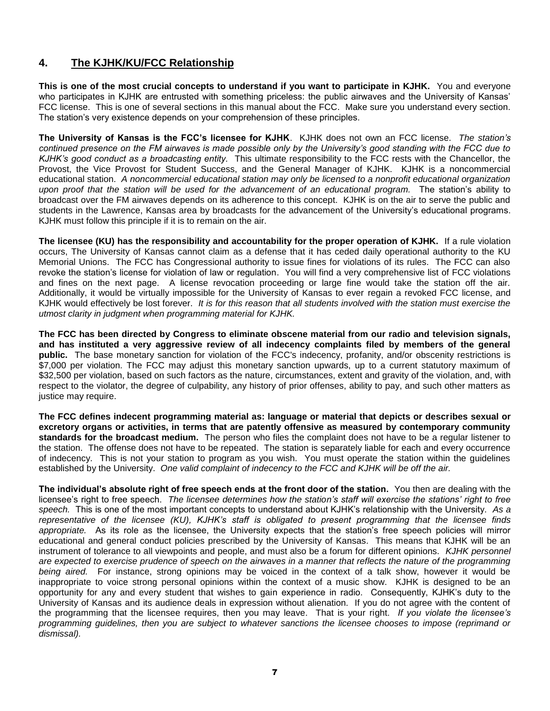### **4. The KJHK/KU/FCC Relationship**

**This is one of the most crucial concepts to understand if you want to participate in KJHK.** You and everyone who participates in KJHK are entrusted with something priceless: the public airwaves and the University of Kansas' FCC license. This is one of several sections in this manual about the FCC. Make sure you understand every section. The station's very existence depends on your comprehension of these principles.

**The University of Kansas is the FCC's licensee for KJHK**. KJHK does not own an FCC license. *The station's continued presence on the FM airwaves is made possible only by the University's good standing with the FCC due to KJHK's good conduct as a broadcasting entity.* This ultimate responsibility to the FCC rests with the Chancellor, the Provost, the Vice Provost for Student Success, and the General Manager of KJHK. KJHK is a noncommercial educational station. *A noncommercial educational station may only be licensed to a nonprofit educational organization upon proof that the station will be used for the advancement of an educational program.* The station's ability to broadcast over the FM airwaves depends on its adherence to this concept. KJHK is on the air to serve the public and students in the Lawrence, Kansas area by broadcasts for the advancement of the University's educational programs. KJHK must follow this principle if it is to remain on the air.

**The licensee (KU) has the responsibility and accountability for the proper operation of KJHK.** If a rule violation occurs, The University of Kansas cannot claim as a defense that it has ceded daily operational authority to the KU Memorial Unions. The FCC has Congressional authority to issue fines for violations of its rules. The FCC can also revoke the station's license for violation of law or regulation. You will find a very comprehensive list of FCC violations and fines on the next page. A license revocation proceeding or large fine would take the station off the air. Additionally, it would be virtually impossible for the University of Kansas to ever regain a revoked FCC license, and KJHK would effectively be lost forever. *It is for this reason that all students involved with the station must exercise the utmost clarity in judgment when programming material for KJHK.*

**The FCC has been directed by Congress to eliminate obscene material from our radio and television signals, and has instituted a very aggressive review of all indecency complaints filed by members of the general public.** The base monetary sanction for violation of the FCC's indecency, profanity, and/or obscenity restrictions is \$7,000 per violation. The FCC may adjust this monetary sanction upwards, up to a current statutory maximum of \$32,500 per violation, based on such factors as the nature, circumstances, extent and gravity of the violation, and, with respect to the violator, the degree of culpability, any history of prior offenses, ability to pay, and such other matters as justice may require.

**The FCC defines indecent programming material as: language or material that depicts or describes sexual or excretory organs or activities, in terms that are patently offensive as measured by contemporary community standards for the broadcast medium.** The person who files the complaint does not have to be a regular listener to the station. The offense does not have to be repeated. The station is separately liable for each and every occurrence of indecency. This is not your station to program as you wish. You must operate the station within the guidelines established by the University. *One valid complaint of indecency to the FCC and KJHK will be off the air.*

**The individual's absolute right of free speech ends at the front door of the station.** You then are dealing with the licensee's right to free speech. *The licensee determines how the station's staff will exercise the stations' right to free speech.* This is one of the most important concepts to understand about KJHK's relationship with the University. *As a representative of the licensee (KU), KJHK's staff is obligated to present programming that the licensee finds appropriate.* As its role as the licensee, the University expects that the station's free speech policies will mirror educational and general conduct policies prescribed by the University of Kansas. This means that KJHK will be an instrument of tolerance to all viewpoints and people, and must also be a forum for different opinions. *KJHK personnel are expected to exercise prudence of speech on the airwaves in a manner that reflects the nature of the programming being aired.* For instance, strong opinions may be voiced in the context of a talk show, however it would be inappropriate to voice strong personal opinions within the context of a music show. KJHK is designed to be an opportunity for any and every student that wishes to gain experience in radio. Consequently, KJHK's duty to the University of Kansas and its audience deals in expression without alienation. If you do not agree with the content of the programming that the licensee requires, then you may leave. That is your right. *If you violate the licensee's programming guidelines, then you are subject to whatever sanctions the licensee chooses to impose (reprimand or dismissal).*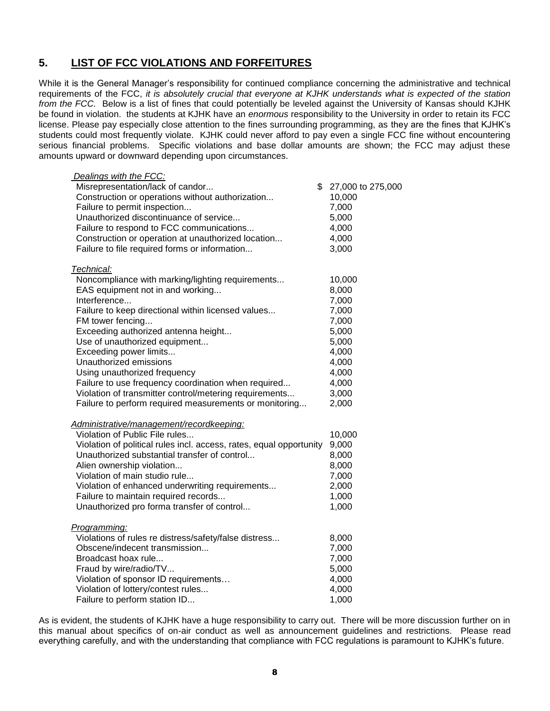### **5. LIST OF FCC VIOLATIONS AND FORFEITURES**

While it is the General Manager's responsibility for continued compliance concerning the administrative and technical requirements of the FCC, *it is absolutely crucial that everyone at KJHK understands what is expected of the station*  from the FCC. Below is a list of fines that could potentially be leveled against the University of Kansas should KJHK be found in violation. the students at KJHK have an *enormous* responsibility to the University in order to retain its FCC license. Please pay especially close attention to the fines surrounding programming, as they are the fines that KJHK's students could most frequently violate. KJHK could never afford to pay even a single FCC fine without encountering serious financial problems. Specific violations and base dollar amounts are shown; the FCC may adjust these amounts upward or downward depending upon circumstances.

| Dealings with the FCC:    |                                                                     |                         |
|---------------------------|---------------------------------------------------------------------|-------------------------|
|                           | Misrepresentation/lack of candor                                    | \$<br>27,000 to 275,000 |
|                           | Construction or operations without authorization                    | 10,000                  |
|                           | Failure to permit inspection                                        | 7,000                   |
|                           | Unauthorized discontinuance of service                              | 5,000                   |
|                           | Failure to respond to FCC communications                            | 4,000                   |
|                           | Construction or operation at unauthorized location                  | 4,000                   |
|                           | Failure to file required forms or information                       | 3,000                   |
| Technical:                |                                                                     |                         |
|                           | Noncompliance with marking/lighting requirements                    | 10,000                  |
|                           | EAS equipment not in and working                                    | 8,000                   |
| Interference              |                                                                     | 7,000                   |
|                           | Failure to keep directional within licensed values                  | 7,000                   |
| FM tower fencing          |                                                                     | 7,000                   |
|                           | Exceeding authorized antenna height                                 | 5,000                   |
|                           | Use of unauthorized equipment                                       | 5,000                   |
| Exceeding power limits    |                                                                     | 4,000                   |
| Unauthorized emissions    |                                                                     | 4,000                   |
|                           | Using unauthorized frequency                                        | 4,000                   |
|                           | Failure to use frequency coordination when required                 | 4,000                   |
|                           | Violation of transmitter control/metering requirements              | 3,000                   |
|                           | Failure to perform required measurements or monitoring              | 2,000                   |
|                           | Administrative/management/recordkeeping:                            |                         |
|                           | Violation of Public File rules                                      | 10,000                  |
|                           | Violation of political rules incl. access, rates, equal opportunity | 9,000                   |
|                           | Unauthorized substantial transfer of control                        | 8,000                   |
| Alien ownership violation |                                                                     | 8,000                   |
|                           | Violation of main studio rule                                       | 7,000                   |
|                           | Violation of enhanced underwriting requirements                     | 2,000                   |
|                           | Failure to maintain required records                                | 1,000                   |
|                           | Unauthorized pro forma transfer of control                          | 1,000                   |
| <u>Programming:</u>       |                                                                     |                         |
|                           | Violations of rules re distress/safety/false distress               | 8,000                   |
|                           | Obscene/indecent transmission                                       | 7,000                   |
| Broadcast hoax rule       |                                                                     | 7,000                   |
| Fraud by wire/radio/TV    |                                                                     | 5,000                   |
|                           | Violation of sponsor ID requirements                                | 4,000                   |
|                           | Violation of lottery/contest rules                                  | 4,000                   |
|                           | Failure to perform station ID                                       | 1,000                   |
|                           |                                                                     |                         |

As is evident, the students of KJHK have a huge responsibility to carry out. There will be more discussion further on in this manual about specifics of on-air conduct as well as announcement guidelines and restrictions. Please read everything carefully, and with the understanding that compliance with FCC regulations is paramount to KJHK's future.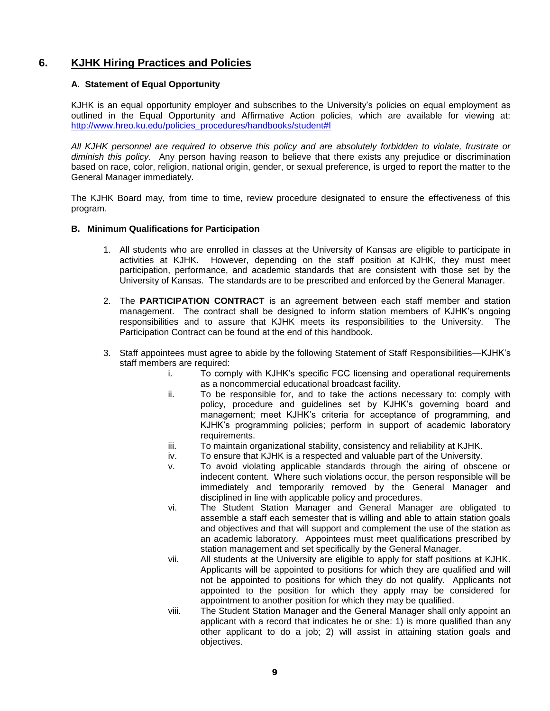### **6. KJHK Hiring Practices and Policies**

### **A. Statement of Equal Opportunity**

KJHK is an equal opportunity employer and subscribes to the University's policies on equal employment as outlined in the Equal Opportunity and Affirmative Action policies, which are available for viewing at: [http://www.hreo.ku.edu/policies\\_procedures/handbooks/student#I](http://www.hreo.ku.edu/policies_procedures/handbooks/student#I)

*All KJHK personnel are required to observe this policy and are absolutely forbidden to violate, frustrate or diminish this policy.* Any person having reason to believe that there exists any prejudice or discrimination based on race, color, religion, national origin, gender, or sexual preference, is urged to report the matter to the General Manager immediately.

The KJHK Board may, from time to time, review procedure designated to ensure the effectiveness of this program.

### **B. Minimum Qualifications for Participation**

- 1. All students who are enrolled in classes at the University of Kansas are eligible to participate in activities at KJHK. However, depending on the staff position at KJHK, they must meet participation, performance, and academic standards that are consistent with those set by the University of Kansas. The standards are to be prescribed and enforced by the General Manager.
- 2. The **PARTICIPATION CONTRACT** is an agreement between each staff member and station management. The contract shall be designed to inform station members of KJHK's ongoing responsibilities and to assure that KJHK meets its responsibilities to the University. The Participation Contract can be found at the end of this handbook.
- 3. Staff appointees must agree to abide by the following Statement of Staff Responsibilities—KJHK's staff members are required:
	- i. To comply with KJHK's specific FCC licensing and operational requirements as a noncommercial educational broadcast facility.
	- ii. To be responsible for, and to take the actions necessary to: comply with policy, procedure and guidelines set by KJHK's governing board and management; meet KJHK's criteria for acceptance of programming, and KJHK's programming policies; perform in support of academic laboratory requirements.
	- iii. To maintain organizational stability, consistency and reliability at KJHK.
	- iv. To ensure that KJHK is a respected and valuable part of the University.
	- v. To avoid violating applicable standards through the airing of obscene or indecent content. Where such violations occur, the person responsible will be immediately and temporarily removed by the General Manager and disciplined in line with applicable policy and procedures.
	- vi. The Student Station Manager and General Manager are obligated to assemble a staff each semester that is willing and able to attain station goals and objectives and that will support and complement the use of the station as an academic laboratory. Appointees must meet qualifications prescribed by station management and set specifically by the General Manager.
	- vii. All students at the University are eligible to apply for staff positions at KJHK. Applicants will be appointed to positions for which they are qualified and will not be appointed to positions for which they do not qualify. Applicants not appointed to the position for which they apply may be considered for appointment to another position for which they may be qualified.
	- viii. The Student Station Manager and the General Manager shall only appoint an applicant with a record that indicates he or she: 1) is more qualified than any other applicant to do a job; 2) will assist in attaining station goals and objectives.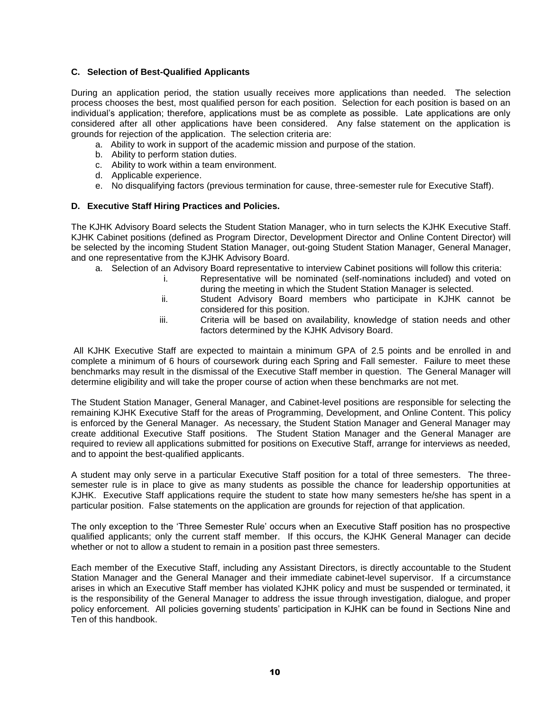### **C. Selection of Best-Qualified Applicants**

During an application period, the station usually receives more applications than needed. The selection process chooses the best, most qualified person for each position. Selection for each position is based on an individual's application; therefore, applications must be as complete as possible. Late applications are only considered after all other applications have been considered. Any false statement on the application is grounds for rejection of the application. The selection criteria are:

- a. Ability to work in support of the academic mission and purpose of the station.
- b. Ability to perform station duties.
- c. Ability to work within a team environment.
- d. Applicable experience.
- e. No disqualifying factors (previous termination for cause, three-semester rule for Executive Staff).

### **D. Executive Staff Hiring Practices and Policies.**

The KJHK Advisory Board selects the Student Station Manager, who in turn selects the KJHK Executive Staff. KJHK Cabinet positions (defined as Program Director, Development Director and Online Content Director) will be selected by the incoming Student Station Manager, out-going Student Station Manager, General Manager, and one representative from the KJHK Advisory Board.

- a. Selection of an Advisory Board representative to interview Cabinet positions will follow this criteria:
	- i. Representative will be nominated (self-nominations included) and voted on during the meeting in which the Student Station Manager is selected.
	- ii. Student Advisory Board members who participate in KJHK cannot be considered for this position.
	- iii. Criteria will be based on availability, knowledge of station needs and other factors determined by the KJHK Advisory Board.

All KJHK Executive Staff are expected to maintain a minimum GPA of 2.5 points and be enrolled in and complete a minimum of 6 hours of coursework during each Spring and Fall semester. Failure to meet these benchmarks may result in the dismissal of the Executive Staff member in question. The General Manager will determine eligibility and will take the proper course of action when these benchmarks are not met.

The Student Station Manager, General Manager, and Cabinet-level positions are responsible for selecting the remaining KJHK Executive Staff for the areas of Programming, Development, and Online Content. This policy is enforced by the General Manager. As necessary, the Student Station Manager and General Manager may create additional Executive Staff positions. The Student Station Manager and the General Manager are required to review all applications submitted for positions on Executive Staff, arrange for interviews as needed, and to appoint the best-qualified applicants.

A student may only serve in a particular Executive Staff position for a total of three semesters. The threesemester rule is in place to give as many students as possible the chance for leadership opportunities at KJHK. Executive Staff applications require the student to state how many semesters he/she has spent in a particular position. False statements on the application are grounds for rejection of that application.

The only exception to the 'Three Semester Rule' occurs when an Executive Staff position has no prospective qualified applicants; only the current staff member. If this occurs, the KJHK General Manager can decide whether or not to allow a student to remain in a position past three semesters.

Each member of the Executive Staff, including any Assistant Directors, is directly accountable to the Student Station Manager and the General Manager and their immediate cabinet-level supervisor. If a circumstance arises in which an Executive Staff member has violated KJHK policy and must be suspended or terminated, it is the responsibility of the General Manager to address the issue through investigation, dialogue, and proper policy enforcement. All policies governing students' participation in KJHK can be found in Sections Nine and Ten of this handbook.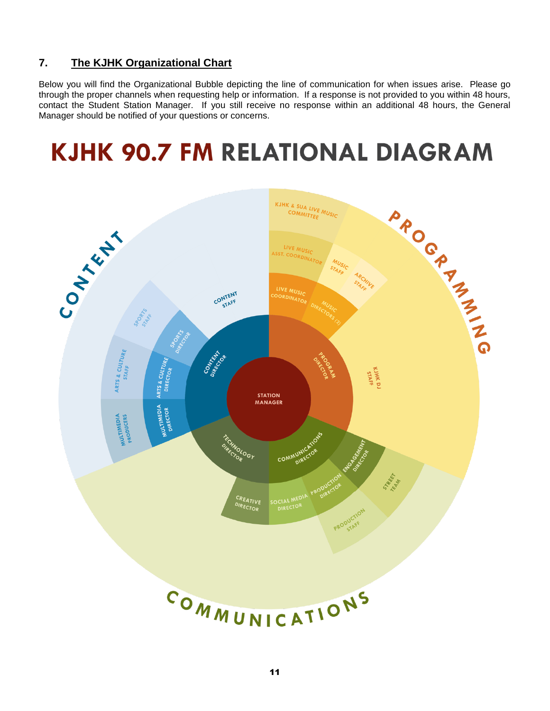### **7. The KJHK Organizational Chart**

Below you will find the Organizational Bubble depicting the line of communication for when issues arise. Please go through the proper channels when requesting help or information. If a response is not provided to you within 48 hours, contact the Student Station Manager. If you still receive no response within an additional 48 hours, the General Manager should be notified of your questions or concerns.

## **KJHK 90.7 FM RELATIONAL DIAGRAM**

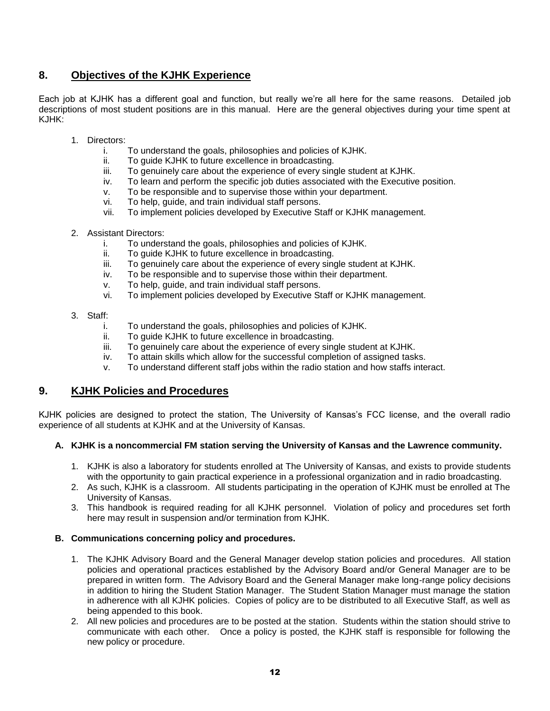### **8. Objectives of the KJHK Experience**

Each job at KJHK has a different goal and function, but really we're all here for the same reasons. Detailed job descriptions of most student positions are in this manual. Here are the general objectives during your time spent at KJHK:

- 1. Directors:
	- i. To understand the goals, philosophies and policies of KJHK.
	- ii. To guide KJHK to future excellence in broadcasting.
	- iii. To genuinely care about the experience of every single student at KJHK.
	- iv. To learn and perform the specific job duties associated with the Executive position.
	- v. To be responsible and to supervise those within your department.
	- vi. To help, guide, and train individual staff persons.
	- vii. To implement policies developed by Executive Staff or KJHK management.
- 2. Assistant Directors:
	- i. To understand the goals, philosophies and policies of KJHK.
	- ii. To guide KJHK to future excellence in broadcasting.
	- iii. To genuinely care about the experience of every single student at KJHK.
	- iv. To be responsible and to supervise those within their department.
	- v. To help, guide, and train individual staff persons.
	- vi. To implement policies developed by Executive Staff or KJHK management.

### 3. Staff:

- i. To understand the goals, philosophies and policies of KJHK.
- ii. To guide KJHK to future excellence in broadcasting.
- iii. To genuinely care about the experience of every single student at KJHK.
- iv. To attain skills which allow for the successful completion of assigned tasks.
- v. To understand different staff jobs within the radio station and how staffs interact.

### **9. KJHK Policies and Procedures**

KJHK policies are designed to protect the station, The University of Kansas's FCC license, and the overall radio experience of all students at KJHK and at the University of Kansas.

### **A. KJHK is a noncommercial FM station serving the University of Kansas and the Lawrence community.**

- 1. KJHK is also a laboratory for students enrolled at The University of Kansas, and exists to provide students with the opportunity to gain practical experience in a professional organization and in radio broadcasting.
- 2. As such, KJHK is a classroom. All students participating in the operation of KJHK must be enrolled at The University of Kansas.
- 3. This handbook is required reading for all KJHK personnel. Violation of policy and procedures set forth here may result in suspension and/or termination from KJHK.

### **B. Communications concerning policy and procedures.**

- 1. The KJHK Advisory Board and the General Manager develop station policies and procedures. All station policies and operational practices established by the Advisory Board and/or General Manager are to be prepared in written form. The Advisory Board and the General Manager make long-range policy decisions in addition to hiring the Student Station Manager. The Student Station Manager must manage the station in adherence with all KJHK policies. Copies of policy are to be distributed to all Executive Staff, as well as being appended to this book.
- 2. All new policies and procedures are to be posted at the station. Students within the station should strive to communicate with each other. Once a policy is posted, the KJHK staff is responsible for following the new policy or procedure.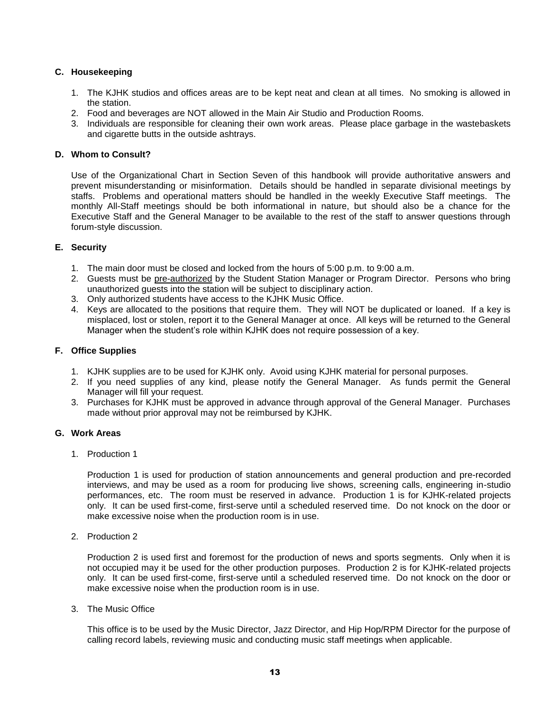### **C. Housekeeping**

- 1. The KJHK studios and offices areas are to be kept neat and clean at all times. No smoking is allowed in the station.
- 2. Food and beverages are NOT allowed in the Main Air Studio and Production Rooms.
- 3. Individuals are responsible for cleaning their own work areas. Please place garbage in the wastebaskets and cigarette butts in the outside ashtrays.

### **D. Whom to Consult?**

Use of the Organizational Chart in Section Seven of this handbook will provide authoritative answers and prevent misunderstanding or misinformation. Details should be handled in separate divisional meetings by staffs. Problems and operational matters should be handled in the weekly Executive Staff meetings. The monthly All-Staff meetings should be both informational in nature, but should also be a chance for the Executive Staff and the General Manager to be available to the rest of the staff to answer questions through forum-style discussion.

### **E. Security**

- 1. The main door must be closed and locked from the hours of 5:00 p.m. to 9:00 a.m.
- 2. Guests must be pre-authorized by the Student Station Manager or Program Director. Persons who bring unauthorized guests into the station will be subject to disciplinary action.
- 3. Only authorized students have access to the KJHK Music Office.
- 4. Keys are allocated to the positions that require them. They will NOT be duplicated or loaned. If a key is misplaced, lost or stolen, report it to the General Manager at once. All keys will be returned to the General Manager when the student's role within KJHK does not require possession of a key.

### **F. Office Supplies**

- 1. KJHK supplies are to be used for KJHK only. Avoid using KJHK material for personal purposes.
- 2. If you need supplies of any kind, please notify the General Manager. As funds permit the General Manager will fill your request.
- 3. Purchases for KJHK must be approved in advance through approval of the General Manager. Purchases made without prior approval may not be reimbursed by KJHK.

### **G. Work Areas**

1. Production 1

Production 1 is used for production of station announcements and general production and pre-recorded interviews, and may be used as a room for producing live shows, screening calls, engineering in-studio performances, etc. The room must be reserved in advance. Production 1 is for KJHK-related projects only. It can be used first-come, first-serve until a scheduled reserved time. Do not knock on the door or make excessive noise when the production room is in use.

2. Production 2

Production 2 is used first and foremost for the production of news and sports segments. Only when it is not occupied may it be used for the other production purposes. Production 2 is for KJHK-related projects only. It can be used first-come, first-serve until a scheduled reserved time. Do not knock on the door or make excessive noise when the production room is in use.

3. The Music Office

This office is to be used by the Music Director, Jazz Director, and Hip Hop/RPM Director for the purpose of calling record labels, reviewing music and conducting music staff meetings when applicable.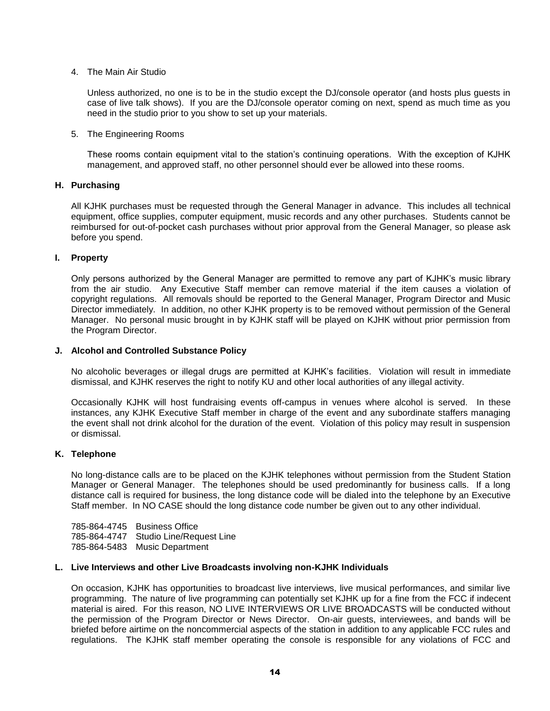### 4. The Main Air Studio

Unless authorized, no one is to be in the studio except the DJ/console operator (and hosts plus guests in case of live talk shows). If you are the DJ/console operator coming on next, spend as much time as you need in the studio prior to you show to set up your materials.

### 5. The Engineering Rooms

These rooms contain equipment vital to the station's continuing operations. With the exception of KJHK management, and approved staff, no other personnel should ever be allowed into these rooms.

### **H. Purchasing**

All KJHK purchases must be requested through the General Manager in advance. This includes all technical equipment, office supplies, computer equipment, music records and any other purchases. Students cannot be reimbursed for out-of-pocket cash purchases without prior approval from the General Manager, so please ask before you spend.

### **I. Property**

Only persons authorized by the General Manager are permitted to remove any part of KJHK's music library from the air studio. Any Executive Staff member can remove material if the item causes a violation of copyright regulations. All removals should be reported to the General Manager, Program Director and Music Director immediately. In addition, no other KJHK property is to be removed without permission of the General Manager. No personal music brought in by KJHK staff will be played on KJHK without prior permission from the Program Director.

### **J. Alcohol and Controlled Substance Policy**

No alcoholic beverages or illegal drugs are permitted at KJHK's facilities. Violation will result in immediate dismissal, and KJHK reserves the right to notify KU and other local authorities of any illegal activity.

Occasionally KJHK will host fundraising events off-campus in venues where alcohol is served. In these instances, any KJHK Executive Staff member in charge of the event and any subordinate staffers managing the event shall not drink alcohol for the duration of the event. Violation of this policy may result in suspension or dismissal.

### **K. Telephone**

No long-distance calls are to be placed on the KJHK telephones without permission from the Student Station Manager or General Manager. The telephones should be used predominantly for business calls. If a long distance call is required for business, the long distance code will be dialed into the telephone by an Executive Staff member. In NO CASE should the long distance code number be given out to any other individual.

785-864-4745 Business Office 785-864-4747 Studio Line/Request Line 785-864-5483 Music Department

### **L. Live Interviews and other Live Broadcasts involving non-KJHK Individuals**

On occasion, KJHK has opportunities to broadcast live interviews, live musical performances, and similar live programming. The nature of live programming can potentially set KJHK up for a fine from the FCC if indecent material is aired. For this reason, NO LIVE INTERVIEWS OR LIVE BROADCASTS will be conducted without the permission of the Program Director or News Director. On-air guests, interviewees, and bands will be briefed before airtime on the noncommercial aspects of the station in addition to any applicable FCC rules and regulations. The KJHK staff member operating the console is responsible for any violations of FCC and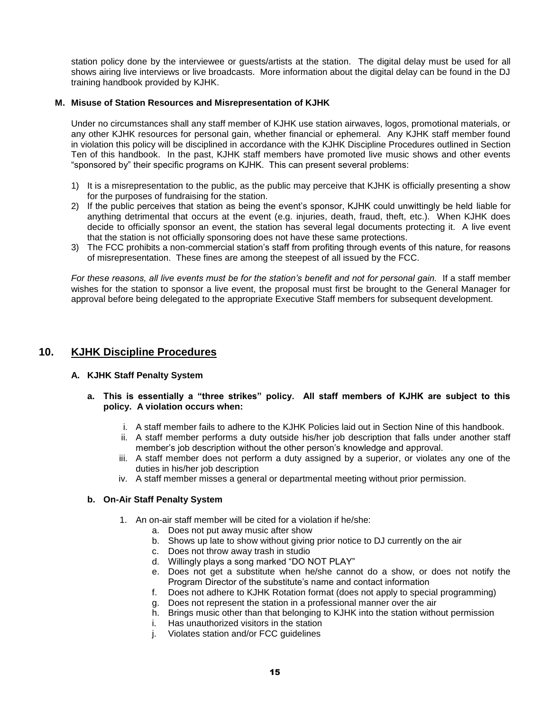station policy done by the interviewee or guests/artists at the station. The digital delay must be used for all shows airing live interviews or live broadcasts. More information about the digital delay can be found in the DJ training handbook provided by KJHK.

### **M. Misuse of Station Resources and Misrepresentation of KJHK**

Under no circumstances shall any staff member of KJHK use station airwaves, logos, promotional materials, or any other KJHK resources for personal gain, whether financial or ephemeral. Any KJHK staff member found in violation this policy will be disciplined in accordance with the KJHK Discipline Procedures outlined in Section Ten of this handbook. In the past, KJHK staff members have promoted live music shows and other events "sponsored by" their specific programs on KJHK. This can present several problems:

- 1) It is a misrepresentation to the public, as the public may perceive that KJHK is officially presenting a show for the purposes of fundraising for the station.
- 2) If the public perceives that station as being the event's sponsor, KJHK could unwittingly be held liable for anything detrimental that occurs at the event (e.g. injuries, death, fraud, theft, etc.). When KJHK does decide to officially sponsor an event, the station has several legal documents protecting it. A live event that the station is not officially sponsoring does not have these same protections.
- 3) The FCC prohibits a non-commercial station's staff from profiting through events of this nature, for reasons of misrepresentation. These fines are among the steepest of all issued by the FCC.

*For these reasons, all live events must be for the station's benefit and not for personal gain.* If a staff member wishes for the station to sponsor a live event, the proposal must first be brought to the General Manager for approval before being delegated to the appropriate Executive Staff members for subsequent development.

### **10. KJHK Discipline Procedures**

### **A. KJHK Staff Penalty System**

- **a. This is essentially a "three strikes" policy. All staff members of KJHK are subject to this policy. A violation occurs when:**
	- i. A staff member fails to adhere to the KJHK Policies laid out in Section Nine of this handbook.
	- ii. A staff member performs a duty outside his/her job description that falls under another staff member's job description without the other person's knowledge and approval.
	- iii. A staff member does not perform a duty assigned by a superior, or violates any one of the duties in his/her job description
	- iv. A staff member misses a general or departmental meeting without prior permission.

### **b. On-Air Staff Penalty System**

- 1. An on-air staff member will be cited for a violation if he/she:
	- a. Does not put away music after show
	- b. Shows up late to show without giving prior notice to DJ currently on the air
	- c. Does not throw away trash in studio
	- d. Willingly plays a song marked "DO NOT PLAY"
	- e. Does not get a substitute when he/she cannot do a show, or does not notify the Program Director of the substitute's name and contact information
	- f. Does not adhere to KJHK Rotation format (does not apply to special programming)
	- g. Does not represent the station in a professional manner over the air
	- h. Brings music other than that belonging to KJHK into the station without permission
	- i. Has unauthorized visitors in the station
	- j. Violates station and/or FCC guidelines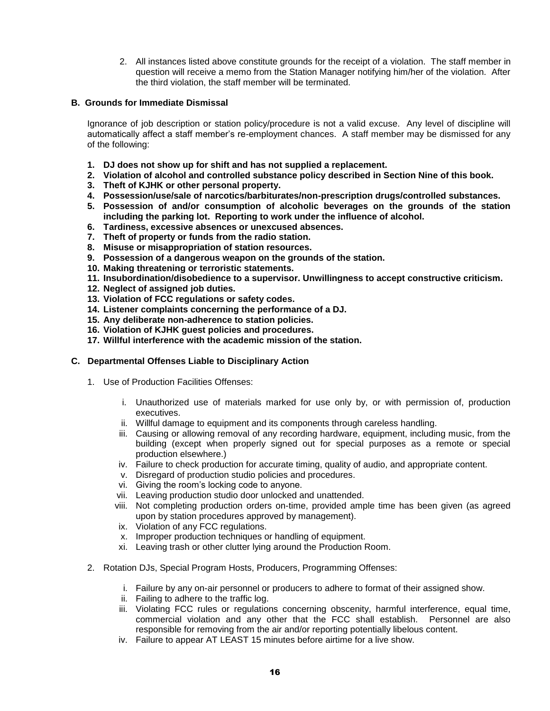2. All instances listed above constitute grounds for the receipt of a violation. The staff member in question will receive a memo from the Station Manager notifying him/her of the violation. After the third violation, the staff member will be terminated.

### **B. Grounds for Immediate Dismissal**

Ignorance of job description or station policy/procedure is not a valid excuse. Any level of discipline will automatically affect a staff member's re-employment chances. A staff member may be dismissed for any of the following:

- **1. DJ does not show up for shift and has not supplied a replacement.**
- **2. Violation of alcohol and controlled substance policy described in Section Nine of this book.**
- **3. Theft of KJHK or other personal property.**
- **4. Possession/use/sale of narcotics/barbiturates/non-prescription drugs/controlled substances.**
- **5. Possession of and/or consumption of alcoholic beverages on the grounds of the station including the parking lot. Reporting to work under the influence of alcohol.**
- **6. Tardiness, excessive absences or unexcused absences.**
- **7. Theft of property or funds from the radio station.**
- **8. Misuse or misappropriation of station resources.**
- **9. Possession of a dangerous weapon on the grounds of the station.**
- **10. Making threatening or terroristic statements.**
- **11. Insubordination/disobedience to a supervisor. Unwillingness to accept constructive criticism.**
- **12. Neglect of assigned job duties.**
- **13. Violation of FCC regulations or safety codes.**
- **14. Listener complaints concerning the performance of a DJ.**
- **15. Any deliberate non-adherence to station policies.**
- **16. Violation of KJHK guest policies and procedures.**
- **17. Willful interference with the academic mission of the station.**

### **C. Departmental Offenses Liable to Disciplinary Action**

- 1. Use of Production Facilities Offenses:
	- i. Unauthorized use of materials marked for use only by, or with permission of, production executives.
	- ii. Willful damage to equipment and its components through careless handling.
	- iii. Causing or allowing removal of any recording hardware, equipment, including music, from the building (except when properly signed out for special purposes as a remote or special production elsewhere.)
	- iv. Failure to check production for accurate timing, quality of audio, and appropriate content.
	- v. Disregard of production studio policies and procedures.
	- vi. Giving the room's locking code to anyone.
	- vii. Leaving production studio door unlocked and unattended.
	- viii. Not completing production orders on-time, provided ample time has been given (as agreed upon by station procedures approved by management).
	- ix. Violation of any FCC regulations.
	- x. Improper production techniques or handling of equipment.
	- xi. Leaving trash or other clutter lying around the Production Room.
- 2. Rotation DJs, Special Program Hosts, Producers, Programming Offenses:
	- i. Failure by any on-air personnel or producers to adhere to format of their assigned show.
	- ii. Failing to adhere to the traffic log.
	- iii. Violating FCC rules or regulations concerning obscenity, harmful interference, equal time, commercial violation and any other that the FCC shall establish. Personnel are also responsible for removing from the air and/or reporting potentially libelous content.
	- iv. Failure to appear AT LEAST 15 minutes before airtime for a live show.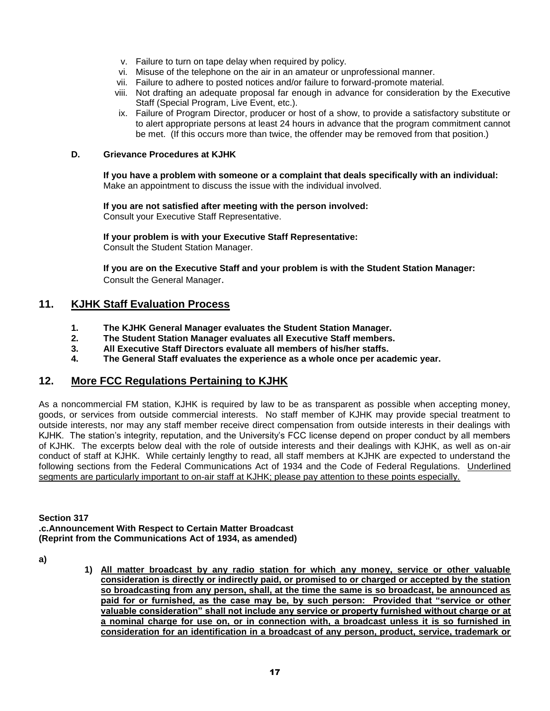- v. Failure to turn on tape delay when required by policy.
- vi. Misuse of the telephone on the air in an amateur or unprofessional manner.
- vii. Failure to adhere to posted notices and/or failure to forward-promote material.
- viii. Not drafting an adequate proposal far enough in advance for consideration by the Executive Staff (Special Program, Live Event, etc.).
- ix. Failure of Program Director, producer or host of a show, to provide a satisfactory substitute or to alert appropriate persons at least 24 hours in advance that the program commitment cannot be met. (If this occurs more than twice, the offender may be removed from that position.)

### **D. Grievance Procedures at KJHK**

**If you have a problem with someone or a complaint that deals specifically with an individual:** Make an appointment to discuss the issue with the individual involved.

**If you are not satisfied after meeting with the person involved:** Consult your Executive Staff Representative.

**If your problem is with your Executive Staff Representative:** Consult the Student Station Manager.

**If you are on the Executive Staff and your problem is with the Student Station Manager:** Consult the General Manager.

### **11. KJHK Staff Evaluation Process**

- **1. The KJHK General Manager evaluates the Student Station Manager.**
- **2. The Student Station Manager evaluates all Executive Staff members.**
- **3. All Executive Staff Directors evaluate all members of his/her staffs.**
- **4. The General Staff evaluates the experience as a whole once per academic year.**

### **12. More FCC Regulations Pertaining to KJHK**

As a noncommercial FM station, KJHK is required by law to be as transparent as possible when accepting money, goods, or services from outside commercial interests. No staff member of KJHK may provide special treatment to outside interests, nor may any staff member receive direct compensation from outside interests in their dealings with KJHK. The station's integrity, reputation, and the University's FCC license depend on proper conduct by all members of KJHK. The excerpts below deal with the role of outside interests and their dealings with KJHK, as well as on-air conduct of staff at KJHK. While certainly lengthy to read, all staff members at KJHK are expected to understand the following sections from the Federal Communications Act of 1934 and the Code of Federal Regulations. Underlined segments are particularly important to on-air staff at KJHK; please pay attention to these points especially.

**Section 317 .c.Announcement With Respect to Certain Matter Broadcast (Reprint from the Communications Act of 1934, as amended)**

**a)**

**1) All matter broadcast by any radio station for which any money, service or other valuable consideration is directly or indirectly paid, or promised to or charged or accepted by the station so broadcasting from any person, shall, at the time the same is so broadcast, be announced as paid for or furnished, as the case may be, by such person: Provided that "service or other valuable consideration" shall not include any service or property furnished without charge or at a nominal charge for use on, or in connection with, a broadcast unless it is so furnished in consideration for an identification in a broadcast of any person, product, service, trademark or**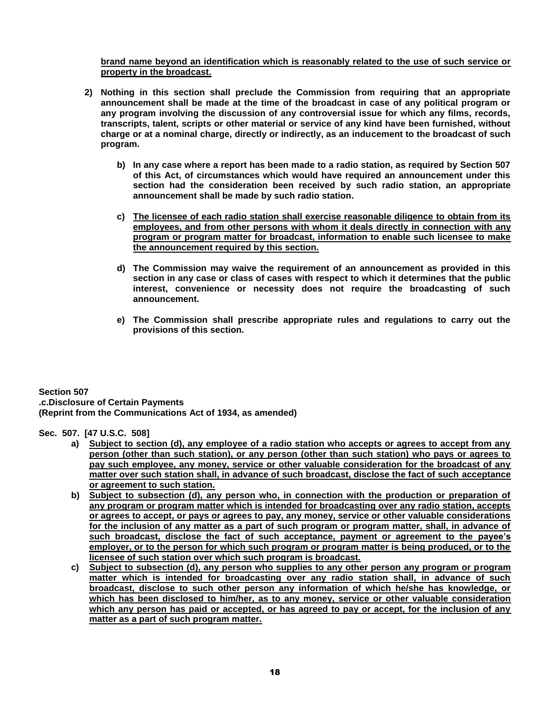**brand name beyond an identification which is reasonably related to the use of such service or property in the broadcast.**

- **2) Nothing in this section shall preclude the Commission from requiring that an appropriate announcement shall be made at the time of the broadcast in case of any political program or any program involving the discussion of any controversial issue for which any films, records, transcripts, talent, scripts or other material or service of any kind have been furnished, without charge or at a nominal charge, directly or indirectly, as an inducement to the broadcast of such program.**
	- **b) In any case where a report has been made to a radio station, as required by Section 507 of this Act, of circumstances which would have required an announcement under this section had the consideration been received by such radio station, an appropriate announcement shall be made by such radio station.**
	- **c) The licensee of each radio station shall exercise reasonable diligence to obtain from its employees, and from other persons with whom it deals directly in connection with any program or program matter for broadcast, information to enable such licensee to make the announcement required by this section.**
	- **d) The Commission may waive the requirement of an announcement as provided in this section in any case or class of cases with respect to which it determines that the public interest, convenience or necessity does not require the broadcasting of such announcement.**
	- **e) The Commission shall prescribe appropriate rules and regulations to carry out the provisions of this section.**

**Section 507 .c.Disclosure of Certain Payments (Reprint from the Communications Act of 1934, as amended)**

**Sec. 507. [47 U.S.C. 508]**

- **a) Subject to section (d), any employee of a radio station who accepts or agrees to accept from any person (other than such station), or any person (other than such station) who pays or agrees to pay such employee, any money, service or other valuable consideration for the broadcast of any matter over such station shall, in advance of such broadcast, disclose the fact of such acceptance or agreement to such station.**
- **b) Subject to subsection (d), any person who, in connection with the production or preparation of any program or program matter which is intended for broadcasting over any radio station, accepts or agrees to accept, or pays or agrees to pay, any money, service or other valuable considerations for the inclusion of any matter as a part of such program or program matter, shall, in advance of such broadcast, disclose the fact of such acceptance, payment or agreement to the payee's employer, or to the person for which such program or program matter is being produced, or to the licensee of such station over which such program is broadcast.**
- **c) Subject to subsection (d), any person who supplies to any other person any program or program matter which is intended for broadcasting over any radio station shall, in advance of such broadcast, disclose to such other person any information of which he/she has knowledge, or which has been disclosed to him/her, as to any money, service or other valuable consideration which any person has paid or accepted, or has agreed to pay or accept, for the inclusion of any matter as a part of such program matter.**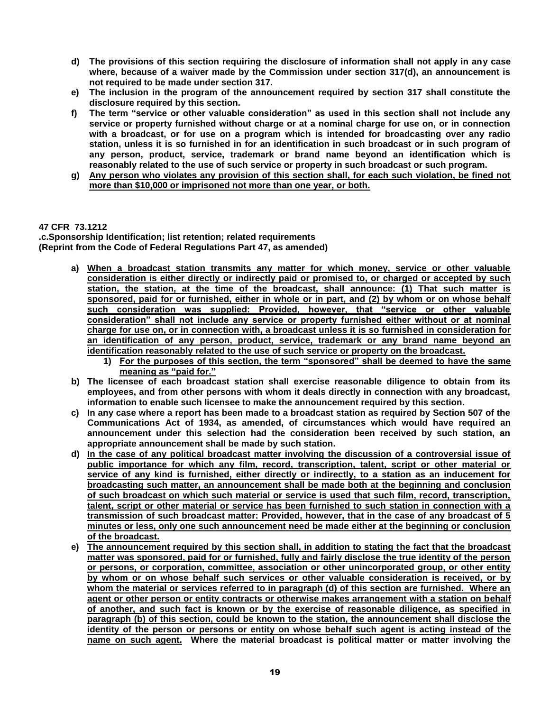- **d) The provisions of this section requiring the disclosure of information shall not apply in any case where, because of a waiver made by the Commission under section 317(d), an announcement is not required to be made under section 317.**
- **e) The inclusion in the program of the announcement required by section 317 shall constitute the disclosure required by this section.**
- **f) The term "service or other valuable consideration" as used in this section shall not include any service or property furnished without charge or at a nominal charge for use on, or in connection with a broadcast, or for use on a program which is intended for broadcasting over any radio station, unless it is so furnished in for an identification in such broadcast or in such program of any person, product, service, trademark or brand name beyond an identification which is reasonably related to the use of such service or property in such broadcast or such program.**
- **g) Any person who violates any provision of this section shall, for each such violation, be fined not more than \$10,000 or imprisoned not more than one year, or both.**

### **47 CFR 73.1212**

**.c.Sponsorship Identification; list retention; related requirements (Reprint from the Code of Federal Regulations Part 47, as amended)**

- **a) When a broadcast station transmits any matter for which money, service or other valuable consideration is either directly or indirectly paid or promised to, or charged or accepted by such station, the station, at the time of the broadcast, shall announce: (1) That such matter is sponsored, paid for or furnished, either in whole or in part, and (2) by whom or on whose behalf such consideration was supplied: Provided, however, that "service or other valuable consideration" shall not include any service or property furnished either without or at nominal charge for use on, or in connection with, a broadcast unless it is so furnished in consideration for an identification of any person, product, service, trademark or any brand name beyond an identification reasonably related to the use of such service or property on the broadcast.**
	- **1) For the purposes of this section, the term "sponsored" shall be deemed to have the same meaning as "paid for."**
- **b) The licensee of each broadcast station shall exercise reasonable diligence to obtain from its employees, and from other persons with whom it deals directly in connection with any broadcast, information to enable such licensee to make the announcement required by this section.**
- **c) In any case where a report has been made to a broadcast station as required by Section 507 of the Communications Act of 1934, as amended, of circumstances which would have required an announcement under this selection had the consideration been received by such station, an appropriate announcement shall be made by such station.**
- **d) In the case of any political broadcast matter involving the discussion of a controversial issue of public importance for which any film, record, transcription, talent, script or other material or service of any kind is furnished, either directly or indirectly, to a station as an inducement for broadcasting such matter, an announcement shall be made both at the beginning and conclusion of such broadcast on which such material or service is used that such film, record, transcription, talent, script or other material or service has been furnished to such station in connection with a transmission of such broadcast matter: Provided, however, that in the case of any broadcast of 5 minutes or less, only one such announcement need be made either at the beginning or conclusion of the broadcast.**
- **e) The announcement required by this section shall, in addition to stating the fact that the broadcast matter was sponsored, paid for or furnished, fully and fairly disclose the true identity of the person or persons, or corporation, committee, association or other unincorporated group, or other entity by whom or on whose behalf such services or other valuable consideration is received, or by whom the material or services referred to in paragraph (d) of this section are furnished. Where an agent or other person or entity contracts or otherwise makes arrangement with a station on behalf of another, and such fact is known or by the exercise of reasonable diligence, as specified in paragraph (b) of this section, could be known to the station, the announcement shall disclose the identity of the person or persons or entity on whose behalf such agent is acting instead of the name on such agent. Where the material broadcast is political matter or matter involving the**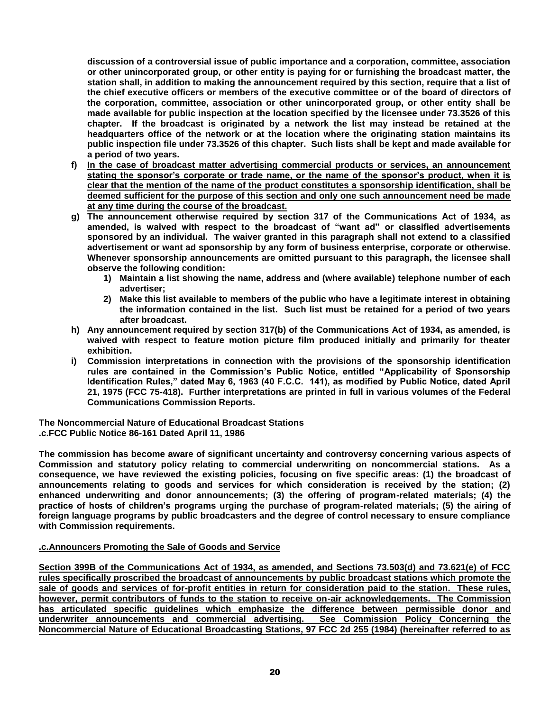**discussion of a controversial issue of public importance and a corporation, committee, association or other unincorporated group, or other entity is paying for or furnishing the broadcast matter, the station shall, in addition to making the announcement required by this section, require that a list of the chief executive officers or members of the executive committee or of the board of directors of the corporation, committee, association or other unincorporated group, or other entity shall be made available for public inspection at the location specified by the licensee under 73.3526 of this chapter. If the broadcast is originated by a network the list may instead be retained at the headquarters office of the network or at the location where the originating station maintains its public inspection file under 73.3526 of this chapter. Such lists shall be kept and made available for a period of two years.**

- **f) In the case of broadcast matter advertising commercial products or services, an announcement stating the sponsor's corporate or trade name, or the name of the sponsor's product, when it is clear that the mention of the name of the product constitutes a sponsorship identification, shall be deemed sufficient for the purpose of this section and only one such announcement need be made at any time during the course of the broadcast.**
- **g) The announcement otherwise required by section 317 of the Communications Act of 1934, as amended, is waived with respect to the broadcast of "want ad" or classified advertisements sponsored by an individual. The waiver granted in this paragraph shall not extend to a classified advertisement or want ad sponsorship by any form of business enterprise, corporate or otherwise. Whenever sponsorship announcements are omitted pursuant to this paragraph, the licensee shall observe the following condition:**
	- **1) Maintain a list showing the name, address and (where available) telephone number of each advertiser;**
	- **2) Make this list available to members of the public who have a legitimate interest in obtaining the information contained in the list. Such list must be retained for a period of two years after broadcast.**
- **h) Any announcement required by section 317(b) of the Communications Act of 1934, as amended, is waived with respect to feature motion picture film produced initially and primarily for theater exhibition.**
- **i) Commission interpretations in connection with the provisions of the sponsorship identification rules are contained in the Commission's Public Notice, entitled "Applicability of Sponsorship Identification Rules," dated May 6, 1963 (40 F.C.C. 141), as modified by Public Notice, dated April 21, 1975 (FCC 75-418). Further interpretations are printed in full in various volumes of the Federal Communications Commission Reports.**

**The Noncommercial Nature of Educational Broadcast Stations .c.FCC Public Notice 86-161 Dated April 11, 1986**

**The commission has become aware of significant uncertainty and controversy concerning various aspects of Commission and statutory policy relating to commercial underwriting on noncommercial stations. As a consequence, we have reviewed the existing policies, focusing on five specific areas: (1) the broadcast of announcements relating to goods and services for which consideration is received by the station; (2) enhanced underwriting and donor announcements; (3) the offering of program-related materials; (4) the practice of hosts of children's programs urging the purchase of program-related materials; (5) the airing of foreign language programs by public broadcasters and the degree of control necessary to ensure compliance with Commission requirements.**

### **.c.Announcers Promoting the Sale of Goods and Service**

**Section 399B of the Communications Act of 1934, as amended, and Sections 73.503(d) and 73.621(e) of FCC rules specifically proscribed the broadcast of announcements by public broadcast stations which promote the sale of goods and services of for-profit entities in return for consideration paid to the station. These rules, however, permit contributors of funds to the station to receive on-air acknowledgements. The Commission has articulated specific guidelines which emphasize the difference between permissible donor and underwriter announcements and commercial advertising. See Commission Policy Concerning the Noncommercial Nature of Educational Broadcasting Stations, 97 FCC 2d 255 (1984) (hereinafter referred to as**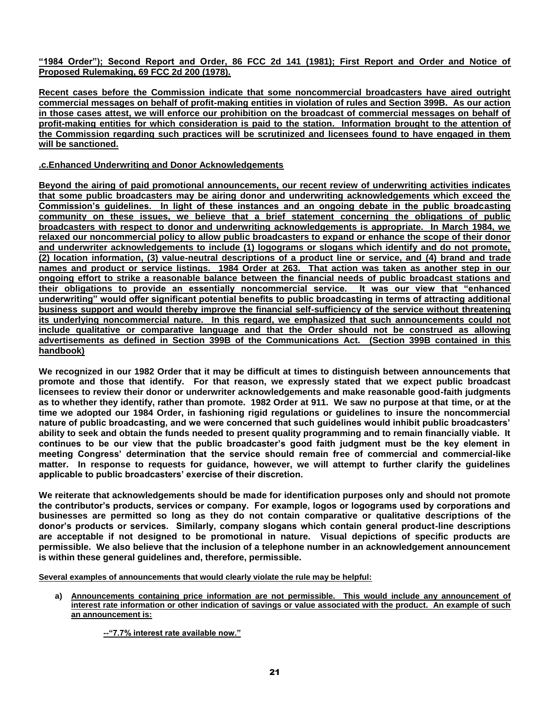**"1984 Order"); Second Report and Order, 86 FCC 2d 141 (1981); First Report and Order and Notice of Proposed Rulemaking, 69 FCC 2d 200 (1978).**

**Recent cases before the Commission indicate that some noncommercial broadcasters have aired outright commercial messages on behalf of profit-making entities in violation of rules and Section 399B. As our action in those cases attest, we will enforce our prohibition on the broadcast of commercial messages on behalf of profit-making entities for which consideration is paid to the station. Information brought to the attention of the Commission regarding such practices will be scrutinized and licensees found to have engaged in them will be sanctioned.**

### **.c.Enhanced Underwriting and Donor Acknowledgements**

**Beyond the airing of paid promotional announcements, our recent review of underwriting activities indicates that some public broadcasters may be airing donor and underwriting acknowledgements which exceed the Commission's guidelines. In light of these instances and an ongoing debate in the public broadcasting community on these issues, we believe that a brief statement concerning the obligations of public broadcasters with respect to donor and underwriting acknowledgements is appropriate. In March 1984, we relaxed our noncommercial policy to allow public broadcasters to expand or enhance the scope of their donor and underwriter acknowledgements to include (1) logograms or slogans which identify and do not promote, (2) location information, (3) value-neutral descriptions of a product line or service, and (4) brand and trade names and product or service listings. 1984 Order at 263. That action was taken as another step in our ongoing effort to strike a reasonable balance between the financial needs of public broadcast stations and their obligations to provide an essentially noncommercial service. It was our view that "enhanced underwriting" would offer significant potential benefits to public broadcasting in terms of attracting additional business support and would thereby improve the financial self-sufficiency of the service without threatening its underlying noncommercial nature. In this regard, we emphasized that such announcements could not include qualitative or comparative language and that the Order should not be construed as allowing advertisements as defined in Section 399B of the Communications Act. (Section 399B contained in this handbook)**

**We recognized in our 1982 Order that it may be difficult at times to distinguish between announcements that promote and those that identify. For that reason, we expressly stated that we expect public broadcast licensees to review their donor or underwriter acknowledgements and make reasonable good-faith judgments as to whether they identify, rather than promote. 1982 Order at 911. We saw no purpose at that time, or at the time we adopted our 1984 Order, in fashioning rigid regulations or guidelines to insure the noncommercial nature of public broadcasting, and we were concerned that such guidelines would inhibit public broadcasters' ability to seek and obtain the funds needed to present quality programming and to remain financially viable. It continues to be our view that the public broadcaster's good faith judgment must be the key element in meeting Congress' determination that the service should remain free of commercial and commercial-like matter. In response to requests for guidance, however, we will attempt to further clarify the guidelines applicable to public broadcasters' exercise of their discretion.**

**We reiterate that acknowledgements should be made for identification purposes only and should not promote the contributor's products, services or company. For example, logos or logograms used by corporations and businesses are permitted so long as they do not contain comparative or qualitative descriptions of the donor's products or services. Similarly, company slogans which contain general product-line descriptions are acceptable if not designed to be promotional in nature. Visual depictions of specific products are permissible. We also believe that the inclusion of a telephone number in an acknowledgement announcement is within these general guidelines and, therefore, permissible.**

**Several examples of announcements that would clearly violate the rule may be helpful:**

**a) Announcements containing price information are not permissible. This would include any announcement of interest rate information or other indication of savings or value associated with the product. An example of such an announcement is:**

**--"7.7% interest rate available now."**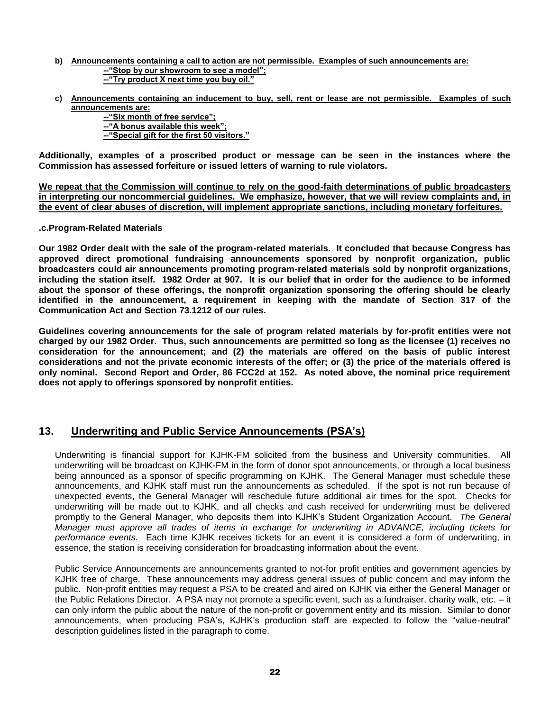- **b) Announcements containing a call to action are not permissible. Examples of such announcements are: --"Stop by our showroom to see a model"; --"Try product X next time you buy oil."**
- **c) Announcements containing an inducement to buy, sell, rent or lease are not permissible. Examples of such announcements are:**

**--"Six month of free service"; --"A bonus available this week"; --"Special gift for the first 50 visitors."**

**Additionally, examples of a proscribed product or message can be seen in the instances where the Commission has assessed forfeiture or issued letters of warning to rule violators.**

**We repeat that the Commission will continue to rely on the good-faith determinations of public broadcasters in interpreting our noncommercial guidelines. We emphasize, however, that we will review complaints and, in the event of clear abuses of discretion, will implement appropriate sanctions, including monetary forfeitures.**

### **.c.Program-Related Materials**

**Our 1982 Order dealt with the sale of the program-related materials. It concluded that because Congress has approved direct promotional fundraising announcements sponsored by nonprofit organization, public broadcasters could air announcements promoting program-related materials sold by nonprofit organizations, including the station itself. 1982 Order at 907. It is our belief that in order for the audience to be informed about the sponsor of these offerings, the nonprofit organization sponsoring the offering should be clearly identified in the announcement, a requirement in keeping with the mandate of Section 317 of the Communication Act and Section 73.1212 of our rules.**

**Guidelines covering announcements for the sale of program related materials by for-profit entities were not charged by our 1982 Order. Thus, such announcements are permitted so long as the licensee (1) receives no consideration for the announcement; and (2) the materials are offered on the basis of public interest considerations and not the private economic interests of the offer; or (3) the price of the materials offered is only nominal. Second Report and Order, 86 FCC2d at 152. As noted above, the nominal price requirement does not apply to offerings sponsored by nonprofit entities.**

### **13. Underwriting and Public Service Announcements (PSA's)**

Underwriting is financial support for KJHK-FM solicited from the business and University communities. All underwriting will be broadcast on KJHK-FM in the form of donor spot announcements, or through a local business being announced as a sponsor of specific programming on KJHK. The General Manager must schedule these announcements, and KJHK staff must run the announcements as scheduled. If the spot is not run because of unexpected events, the General Manager will reschedule future additional air times for the spot. Checks for underwriting will be made out to KJHK, and all checks and cash received for underwriting must be delivered promptly to the General Manager, who deposits them into KJHK's Student Organization Account. *The General Manager must approve all trades of items in exchange for underwriting in ADVANCE, including tickets for performance events.* Each time KJHK receives tickets for an event it is considered a form of underwriting, in essence, the station is receiving consideration for broadcasting information about the event.

Public Service Announcements are announcements granted to not-for profit entities and government agencies by KJHK free of charge. These announcements may address general issues of public concern and may inform the public. Non-profit entities may request a PSA to be created and aired on KJHK via either the General Manager or the Public Relations Director. A PSA may not promote a specific event, such as a fundraiser, charity walk, etc. – it can only inform the public about the nature of the non-profit or government entity and its mission. Similar to donor announcements, when producing PSA's, KJHK's production staff are expected to follow the "value-neutral" description guidelines listed in the paragraph to come.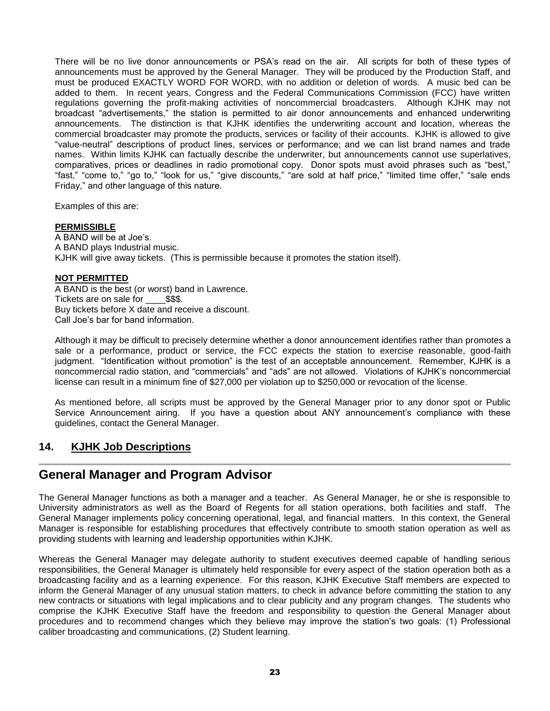There will be no live donor announcements or PSA's read on the air. All scripts for both of these types of announcements must be approved by the General Manager. They will be produced by the Production Staff, and must be produced EXACTLY WORD FOR WORD, with no addition or deletion of words. A music bed can be added to them. In recent years, Congress and the Federal Communications Commission (FCC) have written regulations governing the profit-making activities of noncommercial broadcasters. Although KJHK may not broadcast "advertisements," the station is permitted to air donor announcements and enhanced underwriting announcements. The distinction is that KJHK identifies the underwriting account and location, whereas the commercial broadcaster may promote the products, services or facility of their accounts. KJHK is allowed to give "value-neutral" descriptions of product lines, services or performance; and we can list brand names and trade names. Within limits KJHK can factually describe the underwriter, but announcements cannot use superlatives, comparatives, prices or deadlines in radio promotional copy. Donor spots must avoid phrases such as "best," "fast," "come to," "go to," "look for us," "give discounts," "are sold at half price," "limited time offer," "sale ends Friday," and other language of this nature.

Examples of this are:

### **PERMISSIBLE**

A BAND will be at Joe's. A BAND plays Industrial music. KJHK will give away tickets. (This is permissible because it promotes the station itself).

### **NOT PERMITTED**

A BAND is the best (or worst) band in Lawrence. Tickets are on sale for \_\_\_\_\$\$\$. Buy tickets before X date and receive a discount. Call Joe's bar for band information.

Although it may be difficult to precisely determine whether a donor announcement identifies rather than promotes a sale or a performance, product or service, the FCC expects the station to exercise reasonable, good-faith judgment. "Identification without promotion" is the test of an acceptable announcement. Remember, KJHK is a noncommercial radio station, and "commercials" and "ads" are not allowed. Violations of KJHK's noncommercial license can result in a minimum fine of \$27,000 per violation up to \$250,000 or revocation of the license.

As mentioned before, all scripts must be approved by the General Manager prior to any donor spot or Public Service Announcement airing. If you have a question about ANY announcement's compliance with these guidelines, contact the General Manager.

### **14. KJHK Job Descriptions**

### **General Manager and Program Advisor**

The General Manager functions as both a manager and a teacher. As General Manager, he or she is responsible to University administrators as well as the Board of Regents for all station operations, both facilities and staff. The General Manager implements policy concerning operational, legal, and financial matters. In this context, the General Manager is responsible for establishing procedures that effectively contribute to smooth station operation as well as providing students with learning and leadership opportunities within KJHK.

Whereas the General Manager may delegate authority to student executives deemed capable of handling serious responsibilities, the General Manager is ultimately held responsible for every aspect of the station operation both as a broadcasting facility and as a learning experience. For this reason, KJHK Executive Staff members are expected to inform the General Manager of any unusual station matters, to check in advance before committing the station to any new contracts or situations with legal implications and to clear publicity and any program changes. The students who comprise the KJHK Executive Staff have the freedom and responsibility to question the General Manager about procedures and to recommend changes which they believe may improve the station's two goals: (1) Professional caliber broadcasting and communications, (2) Student learning.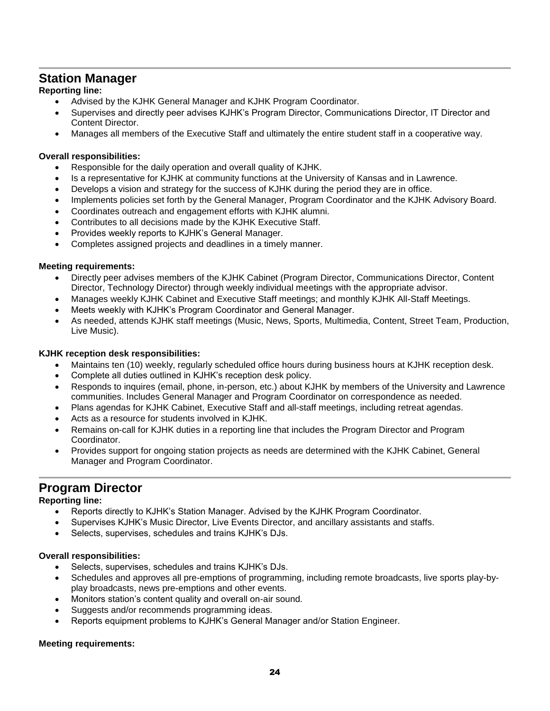### **Station Manager**

### **Reporting line:**

- Advised by the KJHK General Manager and KJHK Program Coordinator.
- Supervises and directly peer advises KJHK's Program Director, Communications Director, IT Director and Content Director.
- Manages all members of the Executive Staff and ultimately the entire student staff in a cooperative way.

### **Overall responsibilities:**

- Responsible for the daily operation and overall quality of KJHK.
- Is a representative for KJHK at community functions at the University of Kansas and in Lawrence.
- Develops a vision and strategy for the success of KJHK during the period they are in office.
- Implements policies set forth by the General Manager, Program Coordinator and the KJHK Advisory Board.
- Coordinates outreach and engagement efforts with KJHK alumni.
- Contributes to all decisions made by the KJHK Executive Staff.
- Provides weekly reports to KJHK's General Manager.
- Completes assigned projects and deadlines in a timely manner.

### **Meeting requirements:**

- Directly peer advises members of the KJHK Cabinet (Program Director, Communications Director, Content Director, Technology Director) through weekly individual meetings with the appropriate advisor.
- Manages weekly KJHK Cabinet and Executive Staff meetings; and monthly KJHK All-Staff Meetings.
- Meets weekly with KJHK's Program Coordinator and General Manager.
- As needed, attends KJHK staff meetings (Music, News, Sports, Multimedia, Content, Street Team, Production, Live Music).

### **KJHK reception desk responsibilities:**

- Maintains ten (10) weekly, regularly scheduled office hours during business hours at KJHK reception desk.
- Complete all duties outlined in KJHK's reception desk policy.
- Responds to inquires (email, phone, in-person, etc.) about KJHK by members of the University and Lawrence communities. Includes General Manager and Program Coordinator on correspondence as needed.
- Plans agendas for KJHK Cabinet, Executive Staff and all-staff meetings, including retreat agendas.
- Acts as a resource for students involved in KJHK.
- Remains on-call for KJHK duties in a reporting line that includes the Program Director and Program Coordinator.
- Provides support for ongoing station projects as needs are determined with the KJHK Cabinet, General Manager and Program Coordinator.

### **Program Director**

### **Reporting line:**

- Reports directly to KJHK's Station Manager. Advised by the KJHK Program Coordinator.
- Supervises KJHK's Music Director, Live Events Director, and ancillary assistants and staffs.
- Selects, supervises, schedules and trains KJHK's DJs.

### **Overall responsibilities:**

- Selects, supervises, schedules and trains KJHK's DJs.
- Schedules and approves all pre-emptions of programming, including remote broadcasts, live sports play-byplay broadcasts, news pre-emptions and other events.
- Monitors station's content quality and overall on-air sound.
- Suggests and/or recommends programming ideas.
- Reports equipment problems to KJHK's General Manager and/or Station Engineer.

### **Meeting requirements:**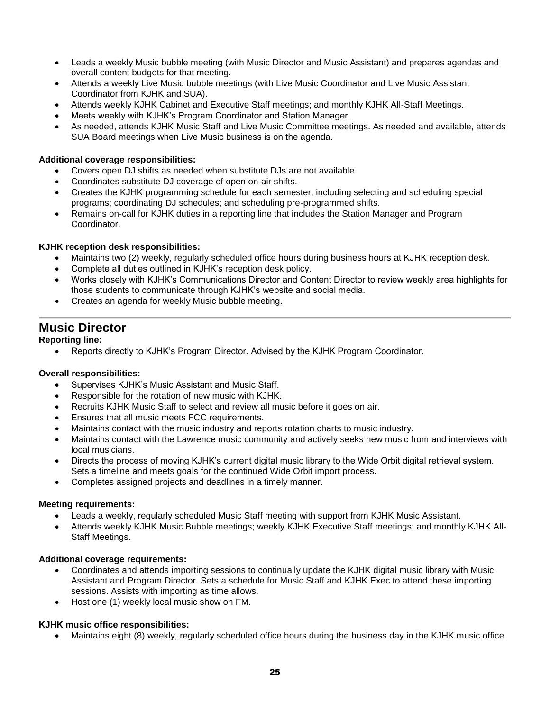- Leads a weekly Music bubble meeting (with Music Director and Music Assistant) and prepares agendas and overall content budgets for that meeting.
- Attends a weekly Live Music bubble meetings (with Live Music Coordinator and Live Music Assistant Coordinator from KJHK and SUA).
- Attends weekly KJHK Cabinet and Executive Staff meetings; and monthly KJHK All-Staff Meetings.
- Meets weekly with KJHK's Program Coordinator and Station Manager.
- As needed, attends KJHK Music Staff and Live Music Committee meetings. As needed and available, attends SUA Board meetings when Live Music business is on the agenda.

### **Additional coverage responsibilities:**

- Covers open DJ shifts as needed when substitute DJs are not available.
- Coordinates substitute DJ coverage of open on-air shifts.
- Creates the KJHK programming schedule for each semester, including selecting and scheduling special programs; coordinating DJ schedules; and scheduling pre-programmed shifts.
- Remains on-call for KJHK duties in a reporting line that includes the Station Manager and Program Coordinator.

### **KJHK reception desk responsibilities:**

- Maintains two (2) weekly, regularly scheduled office hours during business hours at KJHK reception desk.
- Complete all duties outlined in KJHK's reception desk policy.
- Works closely with KJHK's Communications Director and Content Director to review weekly area highlights for those students to communicate through KJHK's website and social media.
- Creates an agenda for weekly Music bubble meeting.

### **Music Director**

**Reporting line:**

Reports directly to KJHK's Program Director. Advised by the KJHK Program Coordinator.

### **Overall responsibilities:**

- Supervises KJHK's Music Assistant and Music Staff.
- Responsible for the rotation of new music with KJHK.
- Recruits KJHK Music Staff to select and review all music before it goes on air.
- Ensures that all music meets FCC requirements.
- Maintains contact with the music industry and reports rotation charts to music industry.
- Maintains contact with the Lawrence music community and actively seeks new music from and interviews with local musicians.
- Directs the process of moving KJHK's current digital music library to the Wide Orbit digital retrieval system. Sets a timeline and meets goals for the continued Wide Orbit import process.
- Completes assigned projects and deadlines in a timely manner.

### **Meeting requirements:**

- Leads a weekly, regularly scheduled Music Staff meeting with support from KJHK Music Assistant.
- Attends weekly KJHK Music Bubble meetings; weekly KJHK Executive Staff meetings; and monthly KJHK All-Staff Meetings.

### **Additional coverage requirements:**

- Coordinates and attends importing sessions to continually update the KJHK digital music library with Music Assistant and Program Director. Sets a schedule for Music Staff and KJHK Exec to attend these importing sessions. Assists with importing as time allows.
- Host one (1) weekly local music show on FM.

### **KJHK music office responsibilities:**

Maintains eight (8) weekly, regularly scheduled office hours during the business day in the KJHK music office.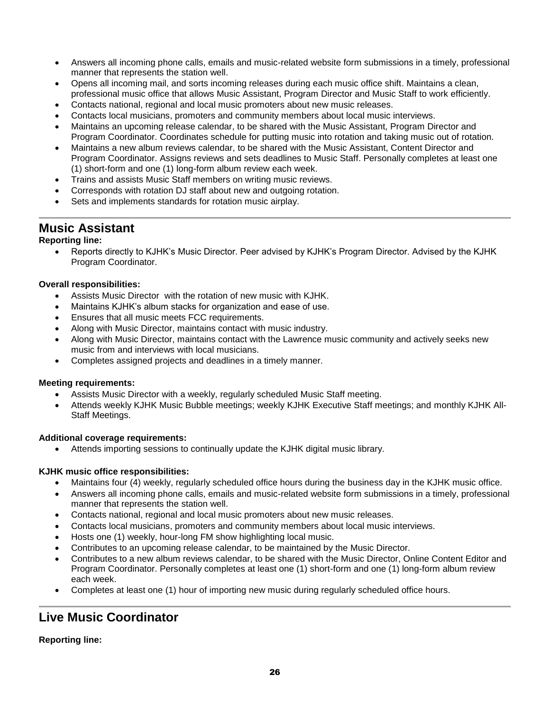- Answers all incoming phone calls, emails and music-related website form submissions in a timely, professional manner that represents the station well.
- Opens all incoming mail, and sorts incoming releases during each music office shift. Maintains a clean, professional music office that allows Music Assistant, Program Director and Music Staff to work efficiently.
- Contacts national, regional and local music promoters about new music releases.
- Contacts local musicians, promoters and community members about local music interviews.
- Maintains an upcoming release calendar, to be shared with the Music Assistant, Program Director and Program Coordinator. Coordinates schedule for putting music into rotation and taking music out of rotation.
- Maintains a new album reviews calendar, to be shared with the Music Assistant, Content Director and Program Coordinator. Assigns reviews and sets deadlines to Music Staff. Personally completes at least one (1) short-form and one (1) long-form album review each week.
- Trains and assists Music Staff members on writing music reviews.
- Corresponds with rotation DJ staff about new and outgoing rotation.
- Sets and implements standards for rotation music airplay.

### **Music Assistant**

### **Reporting line:**

 Reports directly to KJHK's Music Director. Peer advised by KJHK's Program Director. Advised by the KJHK Program Coordinator.

### **Overall responsibilities:**

- Assists Music Director with the rotation of new music with KJHK.
- Maintains KJHK's album stacks for organization and ease of use.
- Ensures that all music meets FCC requirements.
- Along with Music Director, maintains contact with music industry.
- Along with Music Director, maintains contact with the Lawrence music community and actively seeks new music from and interviews with local musicians.
- Completes assigned projects and deadlines in a timely manner.

### **Meeting requirements:**

- Assists Music Director with a weekly, regularly scheduled Music Staff meeting.
- Attends weekly KJHK Music Bubble meetings; weekly KJHK Executive Staff meetings; and monthly KJHK All-Staff Meetings.

### **Additional coverage requirements:**

Attends importing sessions to continually update the KJHK digital music library.

### **KJHK music office responsibilities:**

- Maintains four (4) weekly, regularly scheduled office hours during the business day in the KJHK music office.
- Answers all incoming phone calls, emails and music-related website form submissions in a timely, professional manner that represents the station well.
- Contacts national, regional and local music promoters about new music releases.
- Contacts local musicians, promoters and community members about local music interviews.
- Hosts one (1) weekly, hour-long FM show highlighting local music.
- Contributes to an upcoming release calendar, to be maintained by the Music Director.
- Contributes to a new album reviews calendar, to be shared with the Music Director, Online Content Editor and Program Coordinator. Personally completes at least one (1) short-form and one (1) long-form album review each week.
- Completes at least one (1) hour of importing new music during regularly scheduled office hours.

### **Live Music Coordinator**

**Reporting line:**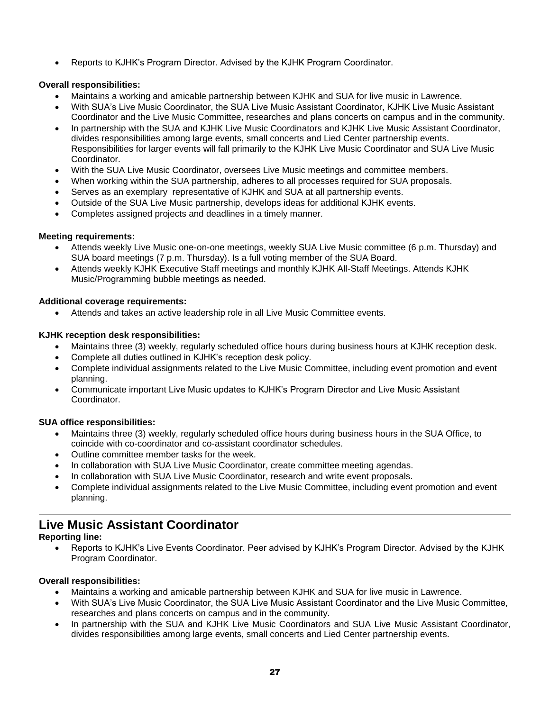Reports to KJHK's Program Director. Advised by the KJHK Program Coordinator.

### **Overall responsibilities:**

- Maintains a working and amicable partnership between KJHK and SUA for live music in Lawrence.
- With SUA's Live Music Coordinator, the SUA Live Music Assistant Coordinator, KJHK Live Music Assistant Coordinator and the Live Music Committee, researches and plans concerts on campus and in the community.
- In partnership with the SUA and KJHK Live Music Coordinators and KJHK Live Music Assistant Coordinator, divides responsibilities among large events, small concerts and Lied Center partnership events. Responsibilities for larger events will fall primarily to the KJHK Live Music Coordinator and SUA Live Music Coordinator.
- With the SUA Live Music Coordinator, oversees Live Music meetings and committee members.
- When working within the SUA partnership, adheres to all processes required for SUA proposals.
- Serves as an exemplary representative of KJHK and SUA at all partnership events.
- Outside of the SUA Live Music partnership, develops ideas for additional KJHK events.
- Completes assigned projects and deadlines in a timely manner.

### **Meeting requirements:**

- Attends weekly Live Music one-on-one meetings, weekly SUA Live Music committee (6 p.m. Thursday) and SUA board meetings (7 p.m. Thursday). Is a full voting member of the SUA Board.
- Attends weekly KJHK Executive Staff meetings and monthly KJHK All-Staff Meetings. Attends KJHK Music/Programming bubble meetings as needed.

### **Additional coverage requirements:**

Attends and takes an active leadership role in all Live Music Committee events.

### **KJHK reception desk responsibilities:**

- Maintains three (3) weekly, regularly scheduled office hours during business hours at KJHK reception desk.
- Complete all duties outlined in KJHK's reception desk policy.
- Complete individual assignments related to the Live Music Committee, including event promotion and event planning.
- Communicate important Live Music updates to KJHK's Program Director and Live Music Assistant Coordinator.

### **SUA office responsibilities:**

- Maintains three (3) weekly, regularly scheduled office hours during business hours in the SUA Office, to coincide with co-coordinator and co-assistant coordinator schedules.
- Outline committee member tasks for the week.
- In collaboration with SUA Live Music Coordinator, create committee meeting agendas.
- In collaboration with SUA Live Music Coordinator, research and write event proposals.
- Complete individual assignments related to the Live Music Committee, including event promotion and event planning.

### **Live Music Assistant Coordinator**

### **Reporting line:**

 Reports to KJHK's Live Events Coordinator. Peer advised by KJHK's Program Director. Advised by the KJHK Program Coordinator.

### **Overall responsibilities:**

- Maintains a working and amicable partnership between KJHK and SUA for live music in Lawrence.
- With SUA's Live Music Coordinator, the SUA Live Music Assistant Coordinator and the Live Music Committee, researches and plans concerts on campus and in the community.
- In partnership with the SUA and KJHK Live Music Coordinators and SUA Live Music Assistant Coordinator, divides responsibilities among large events, small concerts and Lied Center partnership events.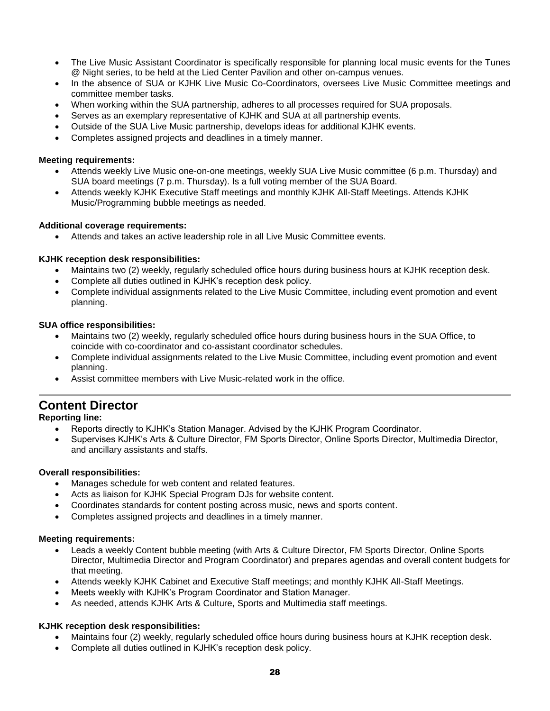- The Live Music Assistant Coordinator is specifically responsible for planning local music events for the Tunes @ Night series, to be held at the Lied Center Pavilion and other on-campus venues.
- In the absence of SUA or KJHK Live Music Co-Coordinators, oversees Live Music Committee meetings and committee member tasks.
- When working within the SUA partnership, adheres to all processes required for SUA proposals.
- Serves as an exemplary representative of KJHK and SUA at all partnership events.
- Outside of the SUA Live Music partnership, develops ideas for additional KJHK events.
- Completes assigned projects and deadlines in a timely manner.

#### **Meeting requirements:**

- Attends weekly Live Music one-on-one meetings, weekly SUA Live Music committee (6 p.m. Thursday) and SUA board meetings (7 p.m. Thursday). Is a full voting member of the SUA Board.
- Attends weekly KJHK Executive Staff meetings and monthly KJHK All-Staff Meetings. Attends KJHK Music/Programming bubble meetings as needed.

#### **Additional coverage requirements:**

Attends and takes an active leadership role in all Live Music Committee events.

### **KJHK reception desk responsibilities:**

- Maintains two (2) weekly, regularly scheduled office hours during business hours at KJHK reception desk.
- Complete all duties outlined in KJHK's reception desk policy.
- Complete individual assignments related to the Live Music Committee, including event promotion and event planning.

#### **SUA office responsibilities:**

- Maintains two (2) weekly, regularly scheduled office hours during business hours in the SUA Office, to coincide with co-coordinator and co-assistant coordinator schedules.
- Complete individual assignments related to the Live Music Committee, including event promotion and event planning.
- Assist committee members with Live Music-related work in the office.

### **Content Director**

### **Reporting line:**

- Reports directly to KJHK's Station Manager. Advised by the KJHK Program Coordinator.
- Supervises KJHK's Arts & Culture Director, FM Sports Director, Online Sports Director, Multimedia Director, and ancillary assistants and staffs.

### **Overall responsibilities:**

- Manages schedule for web content and related features.
- Acts as liaison for KJHK Special Program DJs for website content.
- Coordinates standards for content posting across music, news and sports content.
- Completes assigned projects and deadlines in a timely manner.

#### **Meeting requirements:**

- Leads a weekly Content bubble meeting (with Arts & Culture Director, FM Sports Director, Online Sports Director, Multimedia Director and Program Coordinator) and prepares agendas and overall content budgets for that meeting.
- Attends weekly KJHK Cabinet and Executive Staff meetings; and monthly KJHK All-Staff Meetings.
- Meets weekly with KJHK's Program Coordinator and Station Manager.
- As needed, attends KJHK Arts & Culture, Sports and Multimedia staff meetings.

### **KJHK reception desk responsibilities:**

- Maintains four (2) weekly, regularly scheduled office hours during business hours at KJHK reception desk.
- Complete all duties outlined in KJHK's reception desk policy.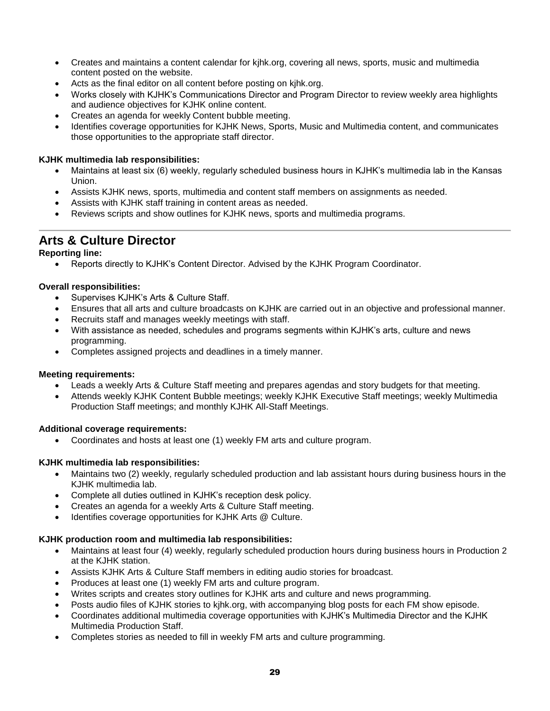- Creates and maintains a content calendar for kjhk.org, covering all news, sports, music and multimedia content posted on the website.
- Acts as the final editor on all content before posting on kjhk.org.
- Works closely with KJHK's Communications Director and Program Director to review weekly area highlights and audience objectives for KJHK online content.
- Creates an agenda for weekly Content bubble meeting.
- Identifies coverage opportunities for KJHK News, Sports, Music and Multimedia content, and communicates those opportunities to the appropriate staff director.

### **KJHK multimedia lab responsibilities:**

- Maintains at least six (6) weekly, regularly scheduled business hours in KJHK's multimedia lab in the Kansas **Union**
- Assists KJHK news, sports, multimedia and content staff members on assignments as needed.
- Assists with KJHK staff training in content areas as needed.
- Reviews scripts and show outlines for KJHK news, sports and multimedia programs.

### **Arts & Culture Director**

### **Reporting line:**

Reports directly to KJHK's Content Director. Advised by the KJHK Program Coordinator.

### **Overall responsibilities:**

- Supervises KJHK's Arts & Culture Staff.
- Ensures that all arts and culture broadcasts on KJHK are carried out in an objective and professional manner.
- Recruits staff and manages weekly meetings with staff.
- With assistance as needed, schedules and programs segments within KJHK's arts, culture and news programming.
- Completes assigned projects and deadlines in a timely manner.

### **Meeting requirements:**

- Leads a weekly Arts & Culture Staff meeting and prepares agendas and story budgets for that meeting.
- Attends weekly KJHK Content Bubble meetings; weekly KJHK Executive Staff meetings; weekly Multimedia Production Staff meetings; and monthly KJHK All-Staff Meetings.

### **Additional coverage requirements:**

Coordinates and hosts at least one (1) weekly FM arts and culture program.

### **KJHK multimedia lab responsibilities:**

- Maintains two (2) weekly, regularly scheduled production and lab assistant hours during business hours in the KJHK multimedia lab.
- Complete all duties outlined in KJHK's reception desk policy.
- Creates an agenda for a weekly Arts & Culture Staff meeting.
- Identifies coverage opportunities for KJHK Arts @ Culture.

### **KJHK production room and multimedia lab responsibilities:**

- Maintains at least four (4) weekly, regularly scheduled production hours during business hours in Production 2 at the KJHK station.
- Assists KJHK Arts & Culture Staff members in editing audio stories for broadcast.
- Produces at least one (1) weekly FM arts and culture program.
- Writes scripts and creates story outlines for KJHK arts and culture and news programming.
- Posts audio files of KJHK stories to kjhk.org, with accompanying blog posts for each FM show episode.
- Coordinates additional multimedia coverage opportunities with KJHK's Multimedia Director and the KJHK Multimedia Production Staff.
- Completes stories as needed to fill in weekly FM arts and culture programming.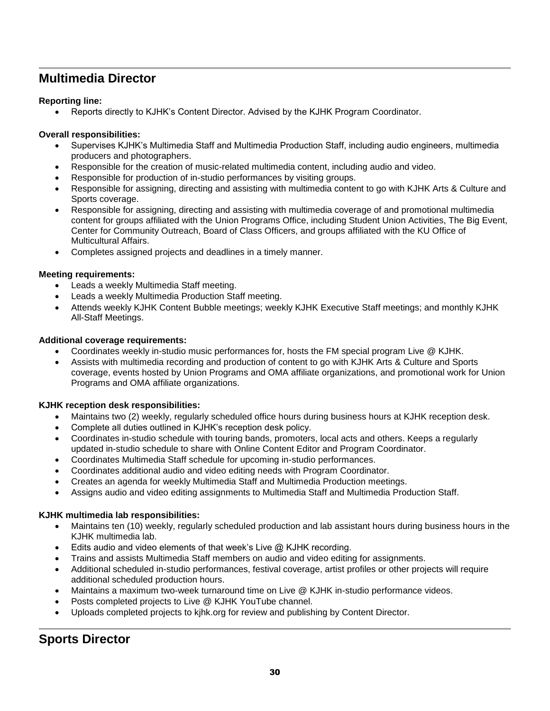### **Multimedia Director**

### **Reporting line:**

Reports directly to KJHK's Content Director. Advised by the KJHK Program Coordinator.

### **Overall responsibilities:**

- Supervises KJHK's Multimedia Staff and Multimedia Production Staff, including audio engineers, multimedia producers and photographers.
- Responsible for the creation of music-related multimedia content, including audio and video.
- Responsible for production of in-studio performances by visiting groups.
- Responsible for assigning, directing and assisting with multimedia content to go with KJHK Arts & Culture and Sports coverage.
- Responsible for assigning, directing and assisting with multimedia coverage of and promotional multimedia content for groups affiliated with the Union Programs Office, including Student Union Activities, The Big Event, Center for Community Outreach, Board of Class Officers, and groups affiliated with the KU Office of Multicultural Affairs.
- Completes assigned projects and deadlines in a timely manner.

### **Meeting requirements:**

- Leads a weekly Multimedia Staff meeting.
- Leads a weekly Multimedia Production Staff meeting.
- Attends weekly KJHK Content Bubble meetings; weekly KJHK Executive Staff meetings; and monthly KJHK All-Staff Meetings.

### **Additional coverage requirements:**

- Coordinates weekly in-studio music performances for, hosts the FM special program Live @ KJHK.
- Assists with multimedia recording and production of content to go with KJHK Arts & Culture and Sports coverage, events hosted by Union Programs and OMA affiliate organizations, and promotional work for Union Programs and OMA affiliate organizations.

### **KJHK reception desk responsibilities:**

- Maintains two (2) weekly, regularly scheduled office hours during business hours at KJHK reception desk.
- Complete all duties outlined in KJHK's reception desk policy.
- Coordinates in-studio schedule with touring bands, promoters, local acts and others. Keeps a regularly updated in-studio schedule to share with Online Content Editor and Program Coordinator.
- Coordinates Multimedia Staff schedule for upcoming in-studio performances.
- Coordinates additional audio and video editing needs with Program Coordinator.
- Creates an agenda for weekly Multimedia Staff and Multimedia Production meetings.
- Assigns audio and video editing assignments to Multimedia Staff and Multimedia Production Staff.

### **KJHK multimedia lab responsibilities:**

- Maintains ten (10) weekly, regularly scheduled production and lab assistant hours during business hours in the KJHK multimedia lab.
- Edits audio and video elements of that week's Live @ KJHK recording.
- Trains and assists Multimedia Staff members on audio and video editing for assignments.
- Additional scheduled in-studio performances, festival coverage, artist profiles or other projects will require additional scheduled production hours.
- Maintains a maximum two-week turnaround time on Live @ KJHK in-studio performance videos.
- Posts completed projects to Live @ KJHK YouTube channel.
- Uploads completed projects to kjhk.org for review and publishing by Content Director.

### **Sports Director**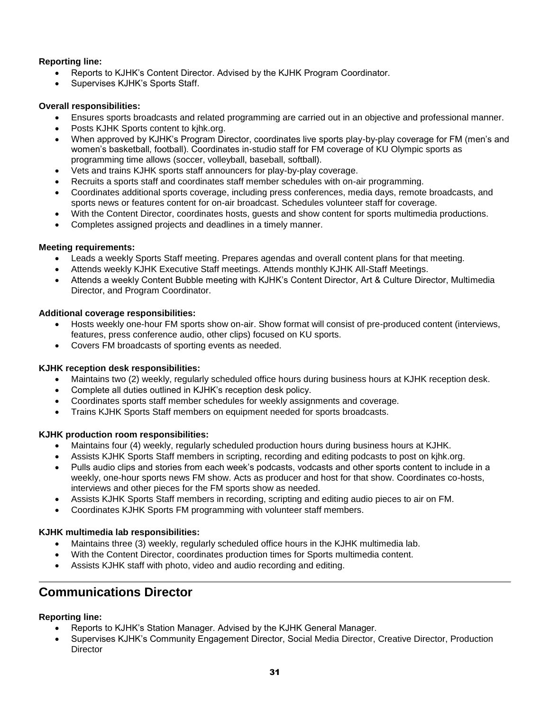### **Reporting line:**

- Reports to KJHK's Content Director. Advised by the KJHK Program Coordinator.
- Supervises KJHK's Sports Staff.

### **Overall responsibilities:**

- Ensures sports broadcasts and related programming are carried out in an objective and professional manner.
- Posts KJHK Sports content to kjhk.org.
- When approved by KJHK's Program Director, coordinates live sports play-by-play coverage for FM (men's and women's basketball, football). Coordinates in-studio staff for FM coverage of KU Olympic sports as programming time allows (soccer, volleyball, baseball, softball).
- Vets and trains KJHK sports staff announcers for play-by-play coverage.
- Recruits a sports staff and coordinates staff member schedules with on-air programming.
- Coordinates additional sports coverage, including press conferences, media days, remote broadcasts, and sports news or features content for on-air broadcast. Schedules volunteer staff for coverage.
- With the Content Director, coordinates hosts, guests and show content for sports multimedia productions.
- Completes assigned projects and deadlines in a timely manner.

### **Meeting requirements:**

- Leads a weekly Sports Staff meeting. Prepares agendas and overall content plans for that meeting.
- Attends weekly KJHK Executive Staff meetings. Attends monthly KJHK All-Staff Meetings.
- Attends a weekly Content Bubble meeting with KJHK's Content Director, Art & Culture Director, Multimedia Director, and Program Coordinator.

### **Additional coverage responsibilities:**

- Hosts weekly one-hour FM sports show on-air. Show format will consist of pre-produced content (interviews, features, press conference audio, other clips) focused on KU sports.
- Covers FM broadcasts of sporting events as needed.

### **KJHK reception desk responsibilities:**

- Maintains two (2) weekly, regularly scheduled office hours during business hours at KJHK reception desk.
- Complete all duties outlined in KJHK's reception desk policy.
- Coordinates sports staff member schedules for weekly assignments and coverage.
- Trains KJHK Sports Staff members on equipment needed for sports broadcasts.

### **KJHK production room responsibilities:**

- Maintains four (4) weekly, regularly scheduled production hours during business hours at KJHK.
- Assists KJHK Sports Staff members in scripting, recording and editing podcasts to post on kjhk.org.
- Pulls audio clips and stories from each week's podcasts, vodcasts and other sports content to include in a weekly, one-hour sports news FM show. Acts as producer and host for that show. Coordinates co-hosts, interviews and other pieces for the FM sports show as needed.
- Assists KJHK Sports Staff members in recording, scripting and editing audio pieces to air on FM.
- Coordinates KJHK Sports FM programming with volunteer staff members.

### **KJHK multimedia lab responsibilities:**

- Maintains three (3) weekly, regularly scheduled office hours in the KJHK multimedia lab.
- With the Content Director, coordinates production times for Sports multimedia content.
- Assists KJHK staff with photo, video and audio recording and editing.

### **Communications Director**

### **Reporting line:**

- Reports to KJHK's Station Manager. Advised by the KJHK General Manager.
- Supervises KJHK's Community Engagement Director, Social Media Director, Creative Director, Production **Director**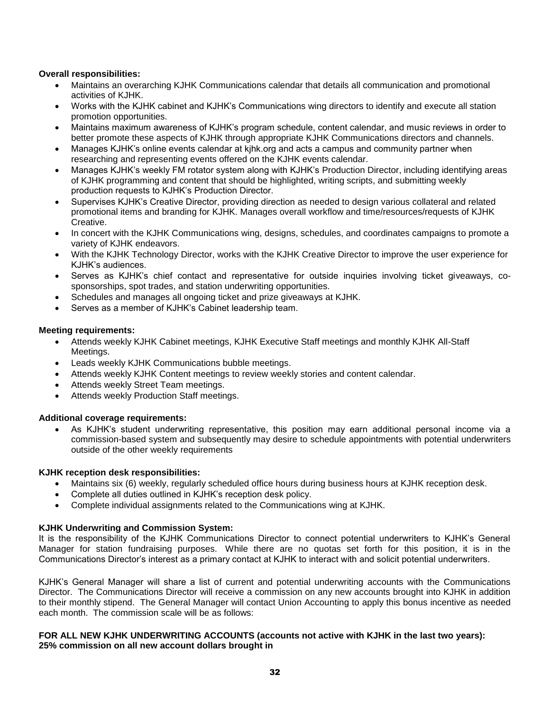### **Overall responsibilities:**

- Maintains an overarching KJHK Communications calendar that details all communication and promotional activities of KJHK.
- Works with the KJHK cabinet and KJHK's Communications wing directors to identify and execute all station promotion opportunities.
- Maintains maximum awareness of KJHK's program schedule, content calendar, and music reviews in order to better promote these aspects of KJHK through appropriate KJHK Communications directors and channels.
- Manages KJHK's online events calendar at kjhk.org and acts a campus and community partner when researching and representing events offered on the KJHK events calendar.
- Manages KJHK's weekly FM rotator system along with KJHK's Production Director, including identifying areas of KJHK programming and content that should be highlighted, writing scripts, and submitting weekly production requests to KJHK's Production Director.
- Supervises KJHK's Creative Director, providing direction as needed to design various collateral and related promotional items and branding for KJHK. Manages overall workflow and time/resources/requests of KJHK Creative.
- In concert with the KJHK Communications wing, designs, schedules, and coordinates campaigns to promote a variety of KJHK endeavors.
- With the KJHK Technology Director, works with the KJHK Creative Director to improve the user experience for KJHK's audiences.
- Serves as KJHK's chief contact and representative for outside inquiries involving ticket giveaways, cosponsorships, spot trades, and station underwriting opportunities.
- Schedules and manages all ongoing ticket and prize giveaways at KJHK.
- Serves as a member of KJHK's Cabinet leadership team.

### **Meeting requirements:**

- Attends weekly KJHK Cabinet meetings, KJHK Executive Staff meetings and monthly KJHK All-Staff Meetings.
- Leads weekly KJHK Communications bubble meetings.
- Attends weekly KJHK Content meetings to review weekly stories and content calendar.
- Attends weekly Street Team meetings.
- Attends weekly Production Staff meetings.

### **Additional coverage requirements:**

 As KJHK's student underwriting representative, this position may earn additional personal income via a commission-based system and subsequently may desire to schedule appointments with potential underwriters outside of the other weekly requirements

### **KJHK reception desk responsibilities:**

- Maintains six (6) weekly, regularly scheduled office hours during business hours at KJHK reception desk.
- Complete all duties outlined in KJHK's reception desk policy.
- Complete individual assignments related to the Communications wing at KJHK.

### **KJHK Underwriting and Commission System:**

It is the responsibility of the KJHK Communications Director to connect potential underwriters to KJHK's General Manager for station fundraising purposes. While there are no quotas set forth for this position, it is in the Communications Director's interest as a primary contact at KJHK to interact with and solicit potential underwriters.

KJHK's General Manager will share a list of current and potential underwriting accounts with the Communications Director. The Communications Director will receive a commission on any new accounts brought into KJHK in addition to their monthly stipend. The General Manager will contact Union Accounting to apply this bonus incentive as needed each month. The commission scale will be as follows:

### **FOR ALL NEW KJHK UNDERWRITING ACCOUNTS (accounts not active with KJHK in the last two years): 25% commission on all new account dollars brought in**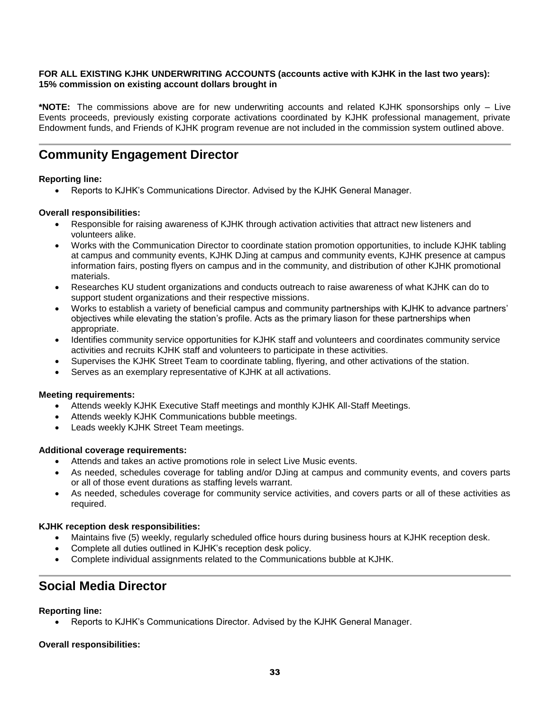### **FOR ALL EXISTING KJHK UNDERWRITING ACCOUNTS (accounts active with KJHK in the last two years): 15% commission on existing account dollars brought in**

**\*NOTE:** The commissions above are for new underwriting accounts and related KJHK sponsorships only – Live Events proceeds, previously existing corporate activations coordinated by KJHK professional management, private Endowment funds, and Friends of KJHK program revenue are not included in the commission system outlined above.

### **Community Engagement Director**

### **Reporting line:**

Reports to KJHK's Communications Director. Advised by the KJHK General Manager.

### **Overall responsibilities:**

- Responsible for raising awareness of KJHK through activation activities that attract new listeners and volunteers alike.
- Works with the Communication Director to coordinate station promotion opportunities, to include KJHK tabling at campus and community events, KJHK DJing at campus and community events, KJHK presence at campus information fairs, posting flyers on campus and in the community, and distribution of other KJHK promotional materials.
- Researches KU student organizations and conducts outreach to raise awareness of what KJHK can do to support student organizations and their respective missions.
- Works to establish a variety of beneficial campus and community partnerships with KJHK to advance partners' objectives while elevating the station's profile. Acts as the primary liason for these partnerships when appropriate.
- Identifies community service opportunities for KJHK staff and volunteers and coordinates community service activities and recruits KJHK staff and volunteers to participate in these activities.
- Supervises the KJHK Street Team to coordinate tabling, flyering, and other activations of the station.
- Serves as an exemplary representative of KJHK at all activations.

### **Meeting requirements:**

- Attends weekly KJHK Executive Staff meetings and monthly KJHK All-Staff Meetings.
- Attends weekly KJHK Communications bubble meetings.
- Leads weekly KJHK Street Team meetings.

### **Additional coverage requirements:**

- Attends and takes an active promotions role in select Live Music events.
- As needed, schedules coverage for tabling and/or DJing at campus and community events, and covers parts or all of those event durations as staffing levels warrant.
- As needed, schedules coverage for community service activities, and covers parts or all of these activities as required.

### **KJHK reception desk responsibilities:**

- Maintains five (5) weekly, regularly scheduled office hours during business hours at KJHK reception desk.
- Complete all duties outlined in KJHK's reception desk policy.
- Complete individual assignments related to the Communications bubble at KJHK.

### **Social Media Director**

### **Reporting line:**

Reports to KJHK's Communications Director. Advised by the KJHK General Manager.

### **Overall responsibilities:**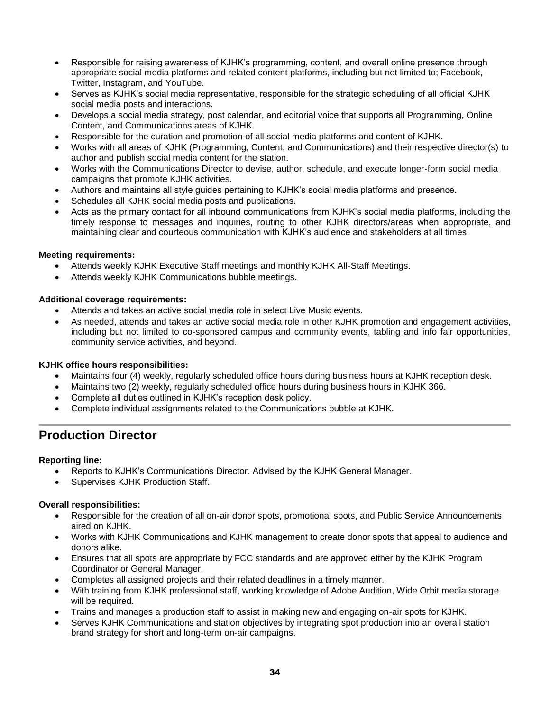- Responsible for raising awareness of KJHK's programming, content, and overall online presence through appropriate social media platforms and related content platforms, including but not limited to; Facebook, Twitter, Instagram, and YouTube.
- Serves as KJHK's social media representative, responsible for the strategic scheduling of all official KJHK social media posts and interactions.
- Develops a social media strategy, post calendar, and editorial voice that supports all Programming, Online Content, and Communications areas of KJHK.
- Responsible for the curation and promotion of all social media platforms and content of KJHK.
- Works with all areas of KJHK (Programming, Content, and Communications) and their respective director(s) to author and publish social media content for the station.
- Works with the Communications Director to devise, author, schedule, and execute longer-form social media campaigns that promote KJHK activities.
- Authors and maintains all style guides pertaining to KJHK's social media platforms and presence.
- Schedules all KJHK social media posts and publications.
- Acts as the primary contact for all inbound communications from KJHK's social media platforms, including the timely response to messages and inquiries, routing to other KJHK directors/areas when appropriate, and maintaining clear and courteous communication with KJHK's audience and stakeholders at all times.

### **Meeting requirements:**

- Attends weekly KJHK Executive Staff meetings and monthly KJHK All-Staff Meetings.
- Attends weekly KJHK Communications bubble meetings.

### **Additional coverage requirements:**

- Attends and takes an active social media role in select Live Music events.
- As needed, attends and takes an active social media role in other KJHK promotion and engagement activities, including but not limited to co-sponsored campus and community events, tabling and info fair opportunities, community service activities, and beyond.

### **KJHK office hours responsibilities:**

- Maintains four (4) weekly, regularly scheduled office hours during business hours at KJHK reception desk.
- Maintains two (2) weekly, regularly scheduled office hours during business hours in KJHK 366.
- Complete all duties outlined in KJHK's reception desk policy.
- Complete individual assignments related to the Communications bubble at KJHK.

### **Production Director**

### **Reporting line:**

- Reports to KJHK's Communications Director. Advised by the KJHK General Manager.
- Supervises KJHK Production Staff.

### **Overall responsibilities:**

- Responsible for the creation of all on-air donor spots, promotional spots, and Public Service Announcements aired on KJHK.
- Works with KJHK Communications and KJHK management to create donor spots that appeal to audience and donors alike.
- Ensures that all spots are appropriate by FCC standards and are approved either by the KJHK Program Coordinator or General Manager.
- Completes all assigned projects and their related deadlines in a timely manner.
- With training from KJHK professional staff, working knowledge of Adobe Audition, Wide Orbit media storage will be required.
- Trains and manages a production staff to assist in making new and engaging on-air spots for KJHK.
- Serves KJHK Communications and station objectives by integrating spot production into an overall station brand strategy for short and long-term on-air campaigns.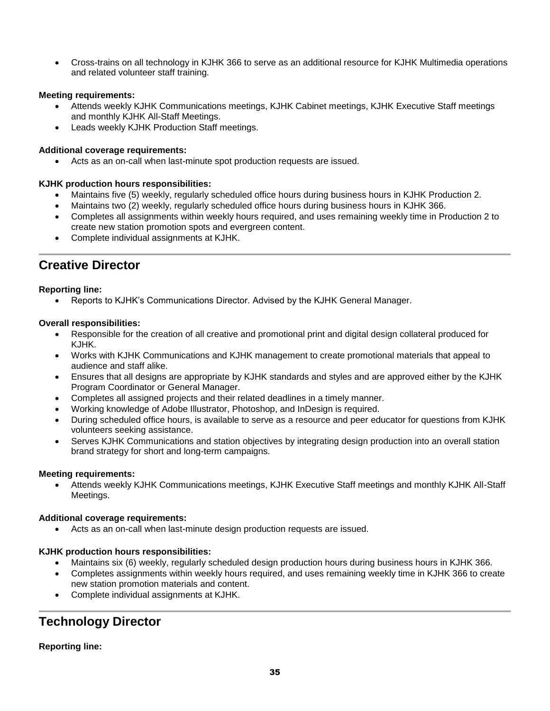Cross-trains on all technology in KJHK 366 to serve as an additional resource for KJHK Multimedia operations and related volunteer staff training.

### **Meeting requirements:**

- Attends weekly KJHK Communications meetings, KJHK Cabinet meetings, KJHK Executive Staff meetings and monthly KJHK All-Staff Meetings.
- Leads weekly KJHK Production Staff meetings.

### **Additional coverage requirements:**

Acts as an on-call when last-minute spot production requests are issued.

### **KJHK production hours responsibilities:**

- Maintains five (5) weekly, regularly scheduled office hours during business hours in KJHK Production 2.
- Maintains two (2) weekly, regularly scheduled office hours during business hours in KJHK 366.
- Completes all assignments within weekly hours required, and uses remaining weekly time in Production 2 to create new station promotion spots and evergreen content.
- Complete individual assignments at KJHK.

### **Creative Director**

### **Reporting line:**

Reports to KJHK's Communications Director. Advised by the KJHK General Manager.

### **Overall responsibilities:**

- Responsible for the creation of all creative and promotional print and digital design collateral produced for KJHK.
- Works with KJHK Communications and KJHK management to create promotional materials that appeal to audience and staff alike.
- Ensures that all designs are appropriate by KJHK standards and styles and are approved either by the KJHK Program Coordinator or General Manager.
- Completes all assigned projects and their related deadlines in a timely manner.
- Working knowledge of Adobe Illustrator, Photoshop, and InDesign is required.
- During scheduled office hours, is available to serve as a resource and peer educator for questions from KJHK volunteers seeking assistance.
- Serves KJHK Communications and station objectives by integrating design production into an overall station brand strategy for short and long-term campaigns.

### **Meeting requirements:**

 Attends weekly KJHK Communications meetings, KJHK Executive Staff meetings and monthly KJHK All-Staff Meetings.

### **Additional coverage requirements:**

Acts as an on-call when last-minute design production requests are issued.

### **KJHK production hours responsibilities:**

- Maintains six (6) weekly, regularly scheduled design production hours during business hours in KJHK 366.
- Completes assignments within weekly hours required, and uses remaining weekly time in KJHK 366 to create new station promotion materials and content.
- Complete individual assignments at KJHK.

### **Technology Director**

**Reporting line:**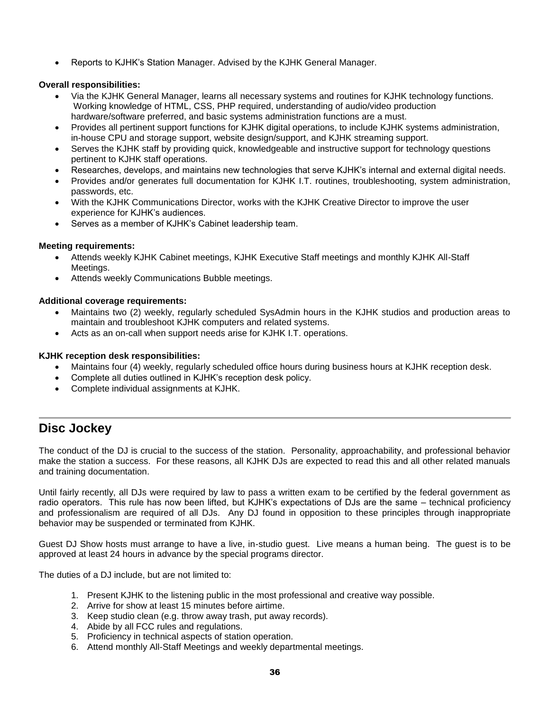Reports to KJHK's Station Manager. Advised by the KJHK General Manager.

### **Overall responsibilities:**

- Via the KJHK General Manager, learns all necessary systems and routines for KJHK technology functions. Working knowledge of HTML, CSS, PHP required, understanding of audio/video production hardware/software preferred, and basic systems administration functions are a must.
- Provides all pertinent support functions for KJHK digital operations, to include KJHK systems administration, in-house CPU and storage support, website design/support, and KJHK streaming support.
- Serves the KJHK staff by providing quick, knowledgeable and instructive support for technology questions pertinent to KJHK staff operations.
- Researches, develops, and maintains new technologies that serve KJHK's internal and external digital needs.
- Provides and/or generates full documentation for KJHK I.T. routines, troubleshooting, system administration, passwords, etc.
- With the KJHK Communications Director, works with the KJHK Creative Director to improve the user experience for KJHK's audiences.
- Serves as a member of KJHK's Cabinet leadership team.

### **Meeting requirements:**

- Attends weekly KJHK Cabinet meetings, KJHK Executive Staff meetings and monthly KJHK All-Staff Meetings.
- Attends weekly Communications Bubble meetings.

### **Additional coverage requirements:**

- Maintains two (2) weekly, regularly scheduled SysAdmin hours in the KJHK studios and production areas to maintain and troubleshoot KJHK computers and related systems.
- Acts as an on-call when support needs arise for KJHK I.T. operations.

### **KJHK reception desk responsibilities:**

- Maintains four (4) weekly, regularly scheduled office hours during business hours at KJHK reception desk.
- Complete all duties outlined in KJHK's reception desk policy.
- Complete individual assignments at KJHK.

### **Disc Jockey**

The conduct of the DJ is crucial to the success of the station. Personality, approachability, and professional behavior make the station a success. For these reasons, all KJHK DJs are expected to read this and all other related manuals and training documentation.

Until fairly recently, all DJs were required by law to pass a written exam to be certified by the federal government as radio operators. This rule has now been lifted, but KJHK's expectations of DJs are the same – technical proficiency and professionalism are required of all DJs. Any DJ found in opposition to these principles through inappropriate behavior may be suspended or terminated from KJHK.

Guest DJ Show hosts must arrange to have a live, in-studio guest. Live means a human being. The guest is to be approved at least 24 hours in advance by the special programs director.

The duties of a DJ include, but are not limited to:

- 1. Present KJHK to the listening public in the most professional and creative way possible.
- 2. Arrive for show at least 15 minutes before airtime.
- 3. Keep studio clean (e.g. throw away trash, put away records).
- 4. Abide by all FCC rules and regulations.
- 5. Proficiency in technical aspects of station operation.
- 6. Attend monthly All-Staff Meetings and weekly departmental meetings.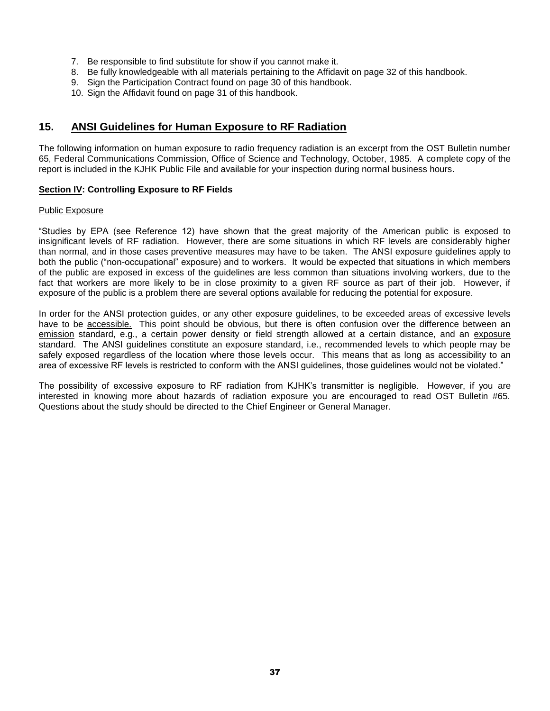- 7. Be responsible to find substitute for show if you cannot make it.
- 8. Be fully knowledgeable with all materials pertaining to the Affidavit on page 32 of this handbook.
- 9. Sign the Participation Contract found on page 30 of this handbook.
- 10. Sign the Affidavit found on page 31 of this handbook.

### **15. ANSI Guidelines for Human Exposure to RF Radiation**

The following information on human exposure to radio frequency radiation is an excerpt from the OST Bulletin number 65, Federal Communications Commission, Office of Science and Technology, October, 1985. A complete copy of the report is included in the KJHK Public File and available for your inspection during normal business hours.

### **Section IV: Controlling Exposure to RF Fields**

### Public Exposure

"Studies by EPA (see Reference 12) have shown that the great majority of the American public is exposed to insignificant levels of RF radiation. However, there are some situations in which RF levels are considerably higher than normal, and in those cases preventive measures may have to be taken. The ANSI exposure guidelines apply to both the public ("non-occupational" exposure) and to workers. It would be expected that situations in which members of the public are exposed in excess of the guidelines are less common than situations involving workers, due to the fact that workers are more likely to be in close proximity to a given RF source as part of their job. However, if exposure of the public is a problem there are several options available for reducing the potential for exposure.

In order for the ANSI protection guides, or any other exposure guidelines, to be exceeded areas of excessive levels have to be accessible. This point should be obvious, but there is often confusion over the difference between an emission standard, e.g., a certain power density or field strength allowed at a certain distance, and an exposure standard. The ANSI guidelines constitute an exposure standard, i.e., recommended levels to which people may be safely exposed regardless of the location where those levels occur. This means that as long as accessibility to an area of excessive RF levels is restricted to conform with the ANSI guidelines, those guidelines would not be violated."

The possibility of excessive exposure to RF radiation from KJHK's transmitter is negligible. However, if you are interested in knowing more about hazards of radiation exposure you are encouraged to read OST Bulletin #65. Questions about the study should be directed to the Chief Engineer or General Manager.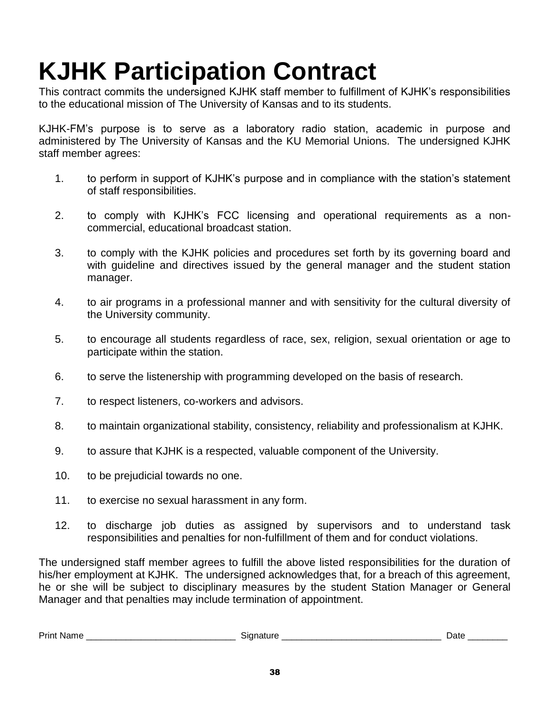## **KJHK Participation Contract**

This contract commits the undersigned KJHK staff member to fulfillment of KJHK's responsibilities to the educational mission of The University of Kansas and to its students.

KJHK-FM's purpose is to serve as a laboratory radio station, academic in purpose and administered by The University of Kansas and the KU Memorial Unions. The undersigned KJHK staff member agrees:

- 1. to perform in support of KJHK's purpose and in compliance with the station's statement of staff responsibilities.
- 2. to comply with KJHK's FCC licensing and operational requirements as a noncommercial, educational broadcast station.
- 3. to comply with the KJHK policies and procedures set forth by its governing board and with guideline and directives issued by the general manager and the student station manager.
- 4. to air programs in a professional manner and with sensitivity for the cultural diversity of the University community.
- 5. to encourage all students regardless of race, sex, religion, sexual orientation or age to participate within the station.
- 6. to serve the listenership with programming developed on the basis of research.
- 7. to respect listeners, co-workers and advisors.
- 8. to maintain organizational stability, consistency, reliability and professionalism at KJHK.
- 9. to assure that KJHK is a respected, valuable component of the University.
- 10. to be prejudicial towards no one.
- 11. to exercise no sexual harassment in any form.
- 12. to discharge job duties as assigned by supervisors and to understand task responsibilities and penalties for non-fulfillment of them and for conduct violations.

The undersigned staff member agrees to fulfill the above listed responsibilities for the duration of his/her employment at KJHK. The undersigned acknowledges that, for a breach of this agreement, he or she will be subject to disciplinary measures by the student Station Manager or General Manager and that penalties may include termination of appointment.

| Print | ur     | )ate |
|-------|--------|------|
| ND.   | יי     | _    |
| varne | $\sim$ |      |
|       |        |      |